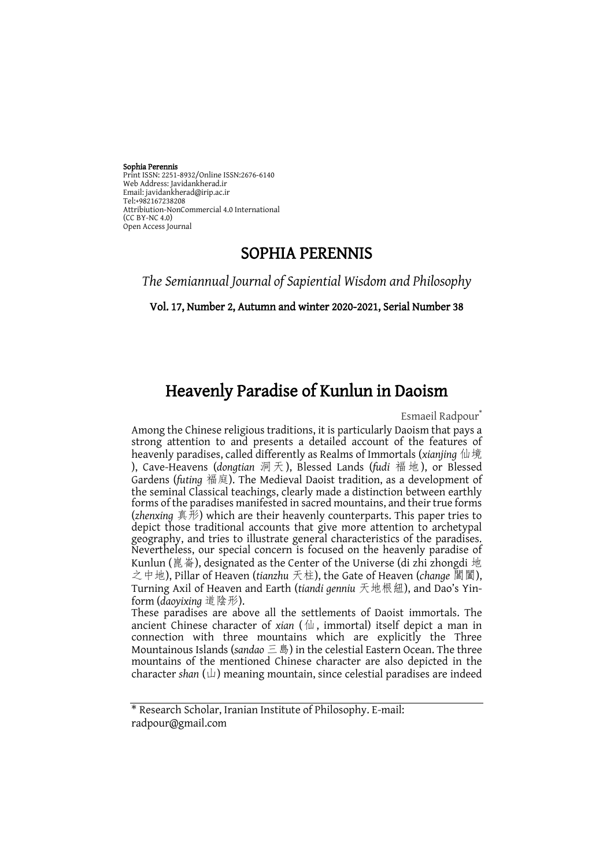# Sophia Perennis

Print ISSN: 2251-8932/Online ISSN:2676-6140 Web Address: Javidankherad.ir web Address, Javidankherad.h<br>Email[: javidankherad@irip.ac.ir](mailto:javidankherad@irip.ac.ir)<br>Tol:+082167238208 [Tel:+982167238208](tel:+982167238208) Attribiution-NonCommercial 4.0 International  $(CCRY-NC 4.0)$ Open Access Journal

### SOPHIA PERENNIS

*The Semiannual Journal of Sapiential Wisdom and Philosophy*

Vol. 17, Number 2, Autumn and winter 2020-2021, Serial Number 38

## Heavenly Paradise of Kunlun in Daoism

Esmaeil Radpour<sup>\*</sup>

Among the Chinese religious traditions, it is particularly Daoism that pays a strong attention to and presents a detailed account of the features of heavenly paradises, called differently as Realms of Immortals (*xianjing* 仙境 ), Cave-Heavens (*dongtian* 洞天), Blessed Lands (*fudi* 福地), or Blessed Gardens (*futing* 福庭). The Medieval Daoist tradition, as a development of the seminal Classical teachings, clearly made a distinction between earthly forms of the paradises manifested in sacred mountains, and their true forms (*zhenxing* 真形) which are their heavenly counterparts. This paper tries to depict those traditional accounts that give more attention to archetypal geography, and tries to illustrate general characteristics of the paradises. Nevertheless, our special concern is focused on the heavenly paradise of Kunlun (崑崙), designated as the Center of the Universe (di zhi zhongdi 地 之中地), Pillar of Heaven (*tianzhu* 天柱), the Gate of Heaven (*change* 閶闔), Turning Axil of Heaven and Earth (*tiandi genniu* 天地根紐), and Dao's Yinform (*daoyixing* 道陰形).

These paradises are above all the settlements of Daoist immortals. The ancient Chinese character of *xian* (仙, immortal) itself depict a man in connection with three mountains which are explicitly the Three Mountainous Islands (*sandao* 三島) in the celestial Eastern Ocean. The three mountains of the mentioned Chinese character are also depicted in the character *shan* (山) meaning mountain, since celestial paradises are indeed

<sup>\*</sup> Research Scholar, Iranian Institute of Philosophy. E-mail: radpour@gmail.com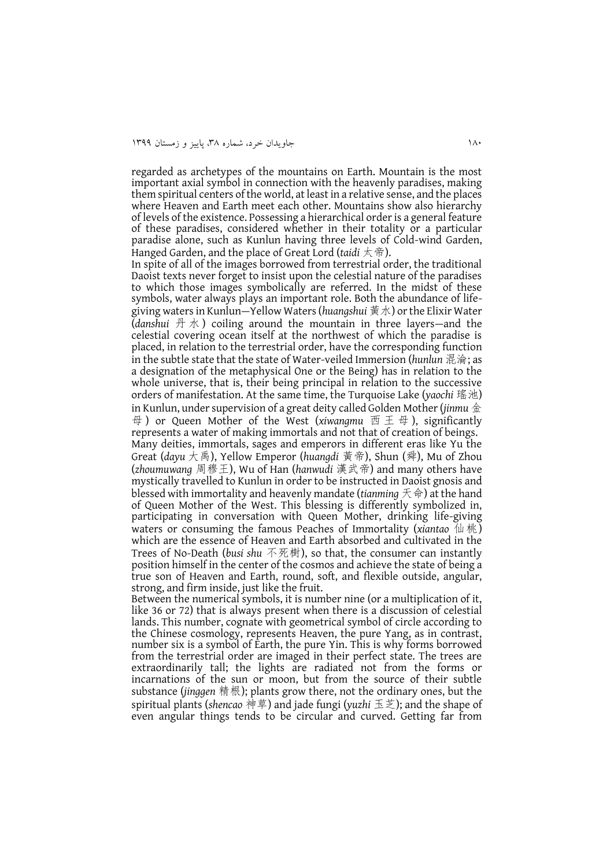regarded as archetypes of the mountains on Earth. Mountain is the most important axial symbol in connection with the heavenly paradises, making them spiritual centers of the world, at least in a relative sense, and the places where Heaven and Earth meet each other. Mountains show also hierarchy of levels of the existence. Possessing a hierarchical order is a general feature of these paradises, considered whether in their totality or a particular paradise alone, such as Kunlun having three levels of Cold-wind Garden, Hanged Garden, and the place of Great Lord (*taidi* 太帝).

In spite of all of the images borrowed from terrestrial order, the traditional Daoist texts never forget to insist upon the celestial nature of the paradises to which those images symbolically are referred. In the midst of these symbols, water always plays an important role. Both the abundance of lifegiving waters in Kunlun—Yellow Waters (*huangshui* 黃水) or the Elixir Water (*danshui* 丹 水 ) coiling around the mountain in three layers—and the celestial covering ocean itself at the northwest of which the paradise is placed, in relation to the terrestrial order, have the corresponding function in the subtle state that the state of Water-veiled Immersion (*hunlun* 混淪; as a designation of the metaphysical One or the Being) has in relation to the whole universe, that is, their being principal in relation to the successive orders of manifestation. At the same time, the Turquoise Lake (*yaochi* 瑤池) in Kunlun, under supervision of a great deity called Golden Mother (*jinmu* 金 母 ) or Queen Mother of the West (*xiwangmu* 西 王 母 ), significantly represents a water of making immortals and not that of creation of beings. Many deities, immortals, sages and emperors in different eras like Yu the Great (*dayu* 大禹), Yellow Emperor (*huangdi* 黃帝), Shun (舜), Mu of Zhou (*zhoumuwang* 周穆王), Wu of Han (*hanwudi* 漢武帝) and many others have mystically travelled to Kunlun in order to be instructed in Daoist gnosis and blessed with immortality and heavenly mandate (*tianming* 天命) at the hand of Queen Mother of the West. This blessing is differently symbolized in, participating in conversation with Queen Mother, drinking life-giving waters or consuming the famous Peaches of Immortality (*xiantao* 仙桃) which are the essence of Heaven and Earth absorbed and cultivated in the Trees of No-Death (*busi shu* 不死樹), so that, the consumer can instantly position himself in the center of the cosmos and achieve the state of being a true son of Heaven and Earth, round, soft, and flexible outside, angular, strong, and firm inside, just like the fruit.

Between the numerical symbols, it is number nine (or a multiplication of it, like 36 or 72) that is always present when there is a discussion of celestial lands. This number, cognate with geometrical symbol of circle according to the Chinese cosmology, represents Heaven, the pure Yang, as in contrast, number six is a symbol of Earth, the pure Yin. This is why forms borrowed from the terrestrial order are imaged in their perfect state. The trees are extraordinarily tall; the lights are radiated not from the forms or incarnations of the sun or moon, but from the source of their subtle substance (*jinggen* 精根); plants grow there, not the ordinary ones, but the spiritual plants (*shencao* 神草) and jade fungi (*yuzhi* 玉芝); and the shape of even angular things tends to be circular and curved. Getting far from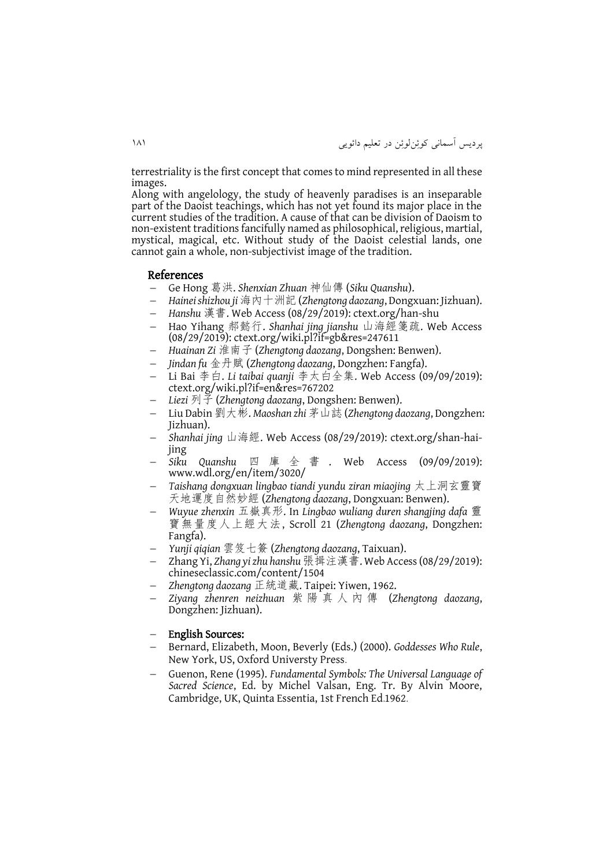terrestriality is the first concept that comes to mind represented in all these images.

Along with angelology, the study of heavenly paradises is an inseparable part of the Daoist teachings, which has not yet found its major place in the current studies of the tradition. A cause of that can be division of Daoism to non-existent traditions fancifully named as philosophical, religious, martial, mystical, magical, etc. Without study of the Daoist celestial lands, one cannot gain a whole, non-subjectivist image of the tradition.

#### References

- Ge Hong 葛洪. *Shenxian Zhuan* 神仙傳 (*Siku Quanshu*).
- *Hainei shizhou ji* 海內十洲記(*Zhengtong daozang*, Dongxuan: Jizhuan).
- *Hanshu* 漢書. Web Access (08/29/2019): ctext.org/han-shu
- Hao Yihang 郝懿行. *Shanhai jing jianshu* 山海經箋疏. Web Access (08/29/2019): ctext.org/wiki.pl?if=gb&res=247611
- *Huainan Zi* 淮南子 (*Zhengtong daozang*, Dongshen: Benwen).
- *Jindan fu* 金丹賦 (*Zhengtong daozang*, Dongzhen: Fangfa).
- Li Bai 李白. *Li taibai quanji* 李太白全集. Web Access (09/09/2019): ctext.org/wiki.pl?if=en&res=767202
- *Liezi* 列子 (*Zhengtong daozang*, Dongshen: Benwen).
- Liu Dabin 劉大彬. *Maoshan zhi* 茅山誌 (*Zhengtong daozang*, Dongzhen: Jizhuan).
- *Shanhai jing* 山海經. Web Access (08/29/2019): ctext.org/shan-haijing
- *Siku Quanshu* 四庫全書 . Web Access (09/09/2019): www.wdl.org/en/item/3020/
- *Taishang dongxuan lingbao tiandi yundu ziran miaojing* 太上洞玄靈寶 天地運度自然妙經 (*Zhengtong daozang*, Dongxuan: Benwen).
- *Wuyue zhenxin* 五嶽真形. In *Lingbao wuliang duren shangjing dafa* 靈 寶無量度人上經大法, Scroll 21 (*Zhengtong daozang*, Dongzhen: Fangfa).
- *Yunji qiqian* 雲笈七簽 (*Zhengtong daozang*, Taixuan).
- Zhang Yi, *Zhang yi zhu hanshu* 張揖注漢書. Web Access (08/29/2019): chineseclassic.com/content/1504
- *Zhengtong daozang* 正統道藏. Taipei: Yiwen, 1962.
- *Ziyang zhenren neizhuan* 紫 陽 真 人 內 傳 (*Zhengtong daozang*, Dongzhen: Jizhuan).

#### English Sources:

- Bernard, Elizabeth, Moon, Beverly (Eds.) (2000). *Goddesses Who Rule*, New York, US, Oxford Universty Press.
- Guenon, Rene (1995). *Fundamental Symbols: The Universal Language of Sacred Science*, Ed. by Michel Valsan, Eng. Tr. By Alvin Moore, Cambridge, UK, Quinta Essentia, 1st French Ed.1962.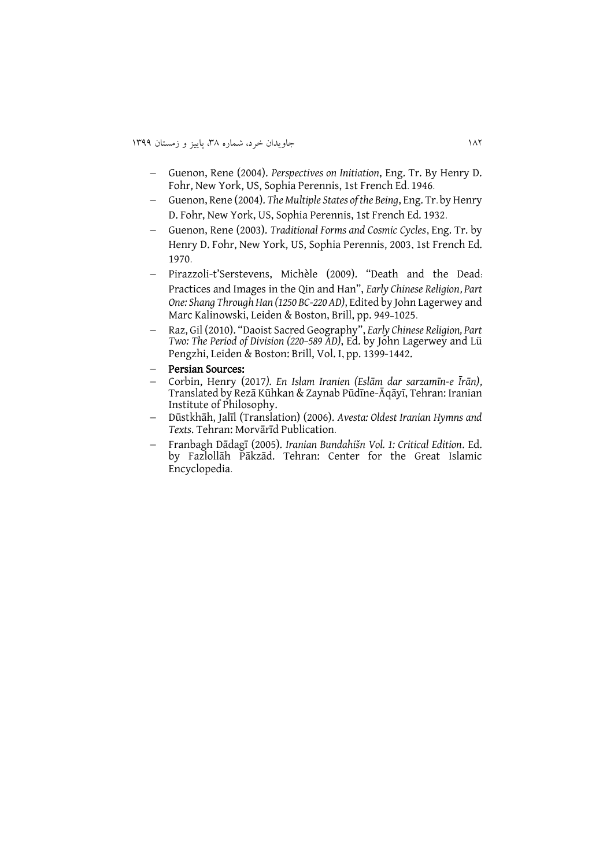- Guenon, Rene (2004). *Perspectives on Initiation*, Eng. Tr. By Henry D. Fohr, New York, US, Sophia Perennis, 1st French Ed. 1946.
- Guenon, Rene (2004). *The Multiple States of the Being*, Eng. Tr. by Henry D. Fohr, New York, US, Sophia Perennis, 1st French Ed. 1932.
- Guenon, Rene (2003). *Traditional Forms and Cosmic Cycles*, Eng. Tr. by Henry D. Fohr, New York, US, Sophia Perennis, 2003, 1st French Ed. 1970.
- Pirazzoli-t'Serstevens, Michèle (2009). "Death and the Dead: Practices and Images in the Qin and Han", *Early Chinese Religion*, *Part One: Shang Through Han (1250 BC-220 AD)*, Edited by John Lagerwey and Marc Kalinowski, Leiden & Boston, Brill, pp. 949-1025.
- Raz, Gil (2010). "Daoist Sacred Geography", *Early Chinese Religion, Part Two: The Period of Division (220–589 AD)*, Ed. by John Lagerwey and Lü Pengzhi, Leiden & Boston: Brill, Vol. I, pp. 1399-1442.
- Persian Sources:
- Corbin, Henry (2017*). En Islam Iranien (Eslām dar sarzamīn-e Īrān)*, Translated by Rezā Kūhkan & Zaynab Pūdīne-Āqāyī, Tehran: Iranian Institute of Philosophy.
- Dūstkhāh, Jalīl (Translation) (2006). *Avesta: Oldest Iranian Hymns and Texts*. Tehran: Morvārīd Publication.
- Franbagh Dādagī (2005). *Iranian Bundahišn Vol. 1: Critical Edition*. Ed. by Fazlollāh Pākzād. Tehran: Center for the Great Islamic Encyclopedia.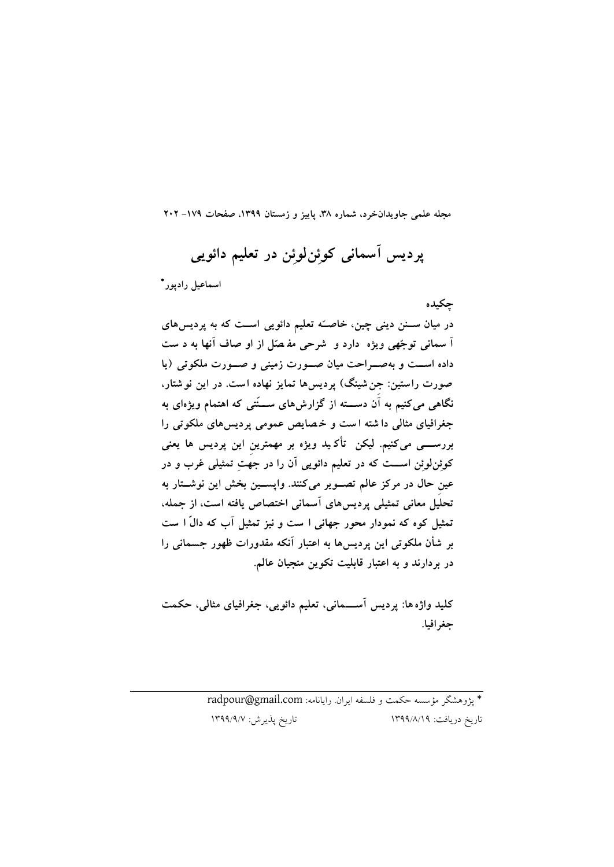**مجله علمی جاویدانخرد، شماره ،83 پاییز و زمستان ،9811 صفحات -971 202**

**پردیس آسمانی کوئِنلوئِن در تعلیم دائویی** \* **اسماعیل رادپور در میان سننن د ینی چین، خاصنهه تعل یم دائویی اسن که به پردیسهای**

**چکیده**

**آ سمان ی توجههی ویژه دارد و شرح ی مف صهل از او صاف آنها به د س**  داده است و به صواحت میان صورت زمینی و صورت ملکوتی (یا **صورت راست ین: جِنش ینگ( پردیسها تمایز نهاده اس . در این نوشتا ر، نگاهی میکنیم به آن دسننته از گزارشهای سننن تی که اهتمام ویژهای به جغرافیای مثالی دا شته ا س و خ صا یص عمومی پردیسهای ملکوتی را بررسننی میکنیم. لیکن تأک ی د ویژه بر مهمترینِ این پردیس ها یعنی کوئِنلوئِن اسنن که در تعلیم دائویی آن را در جه ِ تمثیلی غرب و در عینِ حال در مرکز عالم تصنویر میکنند. واپسنین بخش این نوشنتار به تحلیل معانی تمثیلی پردیسهای آسمان ی اختصاص یافته اس ، از جمله، تمثیل کوه که نمودار محور جهانی ا س و ن یز تمثیل آب که دال ا س بر شأن ملکوت ی این پردیسها به اعتبار آنکه مقدورات ظهور جسمان ی را در بردارند و به اعتبار قابلی تکوین منجیان عالم.**

**کلید واژه ها: پردیس آسننمانی، تعلیم دائویی، جغرافیای مثالی، حکم جغرافیا.**

> \* پژوهشگر مؤسسه حکمت و فلسفه ايران. رايانامه: [com.gmail@radpour](mailto:radpour@gmail.com) تاريخ دريافت: 0811/8/01 تاريخ پذيرش: 0811/1/7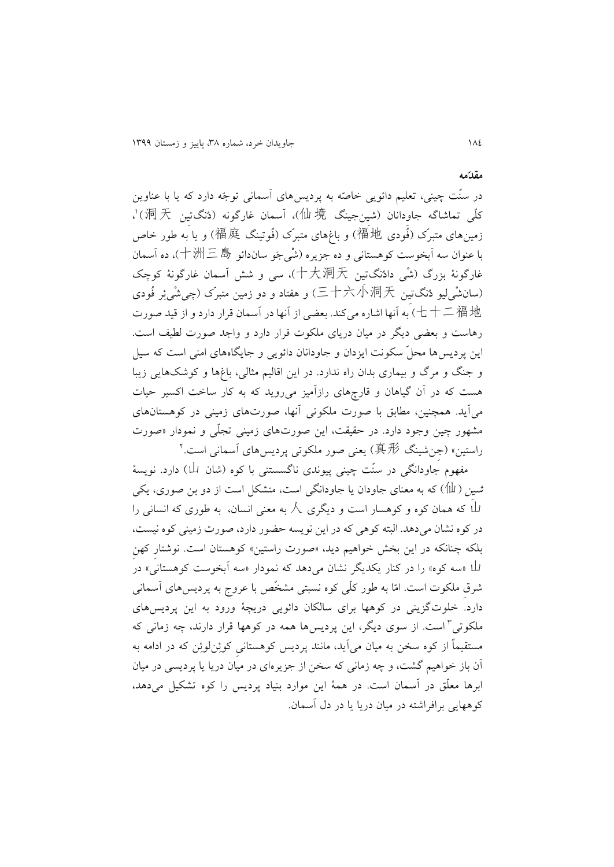در سنّت چینی، تعلیم دائويی خاصّه به پرديسهای آسمانی توجّه دارد که يا با عناوين کلّی تماشاگه جاوِدانان (شینجینگ 仙境)، آسمان غارگونه (دُنگتیِن 洞天)'، زمینهای متبرّک )فُودی 福地 )و باغهای متبرّک )فُوتینگ 福庭 )و يا به طور خاص با عنوان سه آبخوست کوهستانی و ده جزيره )شْیجَو ساندائو 十洲三島)، ده آسمان غارگونۀ بزرگ )شْی دادُنگتیِن 十大洞天)، سی و شش آسمان غارگونۀ کوچک )سانشْیلیو دُنگتیِن 三十六小洞天 )و هفتاد و دو زمین متبرّک )چیشْیئِر فُودی 七十二福地 )به آنها اشاره میکند. بعضی از آنها در آسمان قرار دارد و از قید صورت رهاست و بعضی ديگر در میان دريای ملکوت قرار دارد و واجد صورت لطیف است. اين پرديسها محلّ سکونت ايزدان و جاودانان دائويی و جايگاههای امنی است که سیل و جنگ و مرگ و بیماری بدان راه ندارد. در اين اقالیم مثالی، باغها و کوشکهايی زيبا هست که در آن گیاهان و قارچهای رازآمیز میرويد که به کار ساخت اکسیر حیات میآيد. همچنین، مطابق با صورت ملکوتی آنها، صورتهای زمینی در کوهستانهای مشهور چین وجود دارد. در حقیقت، اين صورتهای زمینی تجلّی و نمودار »صورت راستين» (جِنشينگ 真*形*) يعنی صور ملکوتی پرديسهای آسمانی است.<sup>۲</sup>

مفهوم جاودانگی در سنّت چینی پیوندی ناگسستنی با کوه (شان 山) دارد. نویسۀ شین ( الله)) که به معنای جاودان يا جاودانگی است، متشکل است از دو بن صوری، يکی 山 که همان کوه و کوهسار است و ديگری 人 به معنی انسان، به طوری که انسانی را در کوه نشان میدهد. البته کوهی که در اين نويسه حضور دارد، صورت زمینی کوه نیست، بلکه چنانکه در اين بخش خواهیم ديد، »صورت راستین« کوهستان است. نوشتارِ کهنِ 山« سه کوه« را در کنار يکديگر نشان میدهد که نمودار »سه آبخوست کوهستانی« در شرقِ ملکوت است. امّا به طور کلّی کوه نسبتی مشخّص با عروج به پرديسهای آسمانی دارد. خلوتگزينی در کوهها برای سالکان دائويی دريچۀ ورود به اين پرديسهای ملکوتی<sup>۲</sup> است. از سوی دیگر، این پردیسها همه در کوهها قرار دارند، چه زمان*ی* که مستقیماً از کوه سخن به میان میآيد، مانند پرديس کوهستانیِ کوئِنلوئِن که در ادامه به آن باز خواهیم گشت، و چه زمانی که سخن از جزيرهای در میان دريا يا پرديسی در میان ابرها معلّق در آسمان است. در همۀ اين موارد بنیاد پرديس را کوه تشکیل میدهد، کوههايی برافراشته در میان دريا يا در دل آسمان.

**مقدهمه**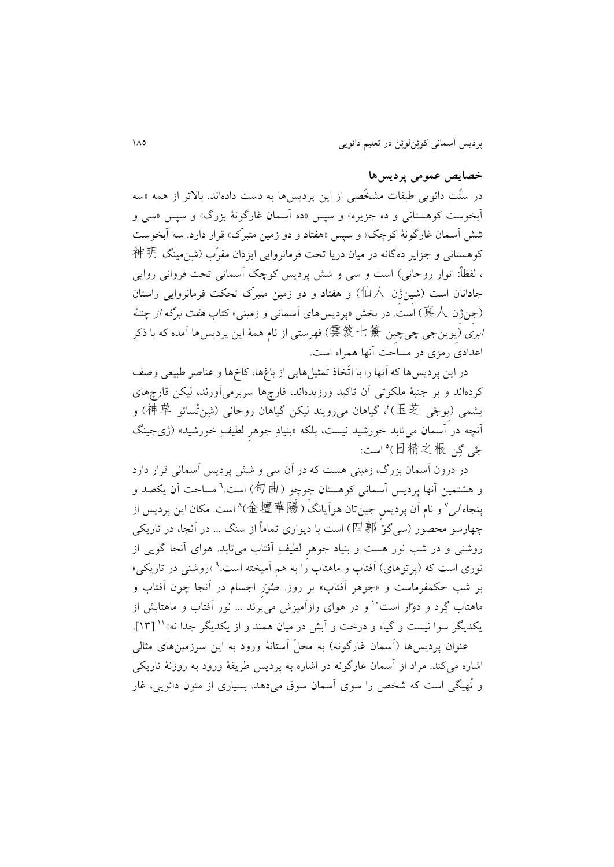### **خصایص عمومی پردیسها**

در سنّت دائويی طبقات مشخّصی از اين پرديسها به دست دادهاند. باالتر از همه »سه آبخوست کوهستانی و ده جزيره» و سپس «ده آسمان غارگونۀ بزرگ» و سپس «سی و شش آسمان غارگونۀ کوچک« و سپس »هفتاد و دو زمین متبرّک« قرار دارد. سه آبخوست کوهستانی و جزاير دهگانه در میان دريا تحت فرمانروايی ايزدان مقرّب )شِنمینگ 神明 ، لفظاً: انوار روحانی) است و سی و شش پرديس کوچک آسمانی تحت فروانی روايی جادانان است )شیِنژِن 仙人 )و هفتاد و دو زمین متبرّک تحکت فرمانروايی راستان )جِنژِن 真人 )است. در بخش »پرديسهای آسمانی و زمینی« کتاب هفت برگه از چنتۀ ا*بری (*يوينجي چيچين 雲笈七簽)فهرستي از نام همۀ اين پرديسها آمده که با ذکر اعدادی رمزی در مساحت آنها همراه است.

در اين پرديسها که آنها را با اتّخاذ تمثیلهايی از باغها، کاخها و عناصر طبیعی وصف کردهاند و بر جنبۀ ملکوتی آن تاکید ورزيدهاند، قارچها سربرمیآورند، لیکن قارچهای بِشمی (يوجْی 玉芝)، گیاهان میرویند لیکن گیاهان روحانی (شِننْسائو 神草) و آنچه در آسمان میتابد خورشید نیست، بلکه «بنیادِ جوهرِ لطیفِ خورشید» (ژیجینگ 1 جْی گِن 日精之根) است:

در درون آسمان بزرگ، زمینی هست که در آن سی و شش پرديس آسمانی قرار دارد و هشتمین آنها پردیس آسمانی کوهستان جوچِو (句曲) است.<sup>٦</sup> مساحت آن یکصد و پنجاه *لی*° و نام آن پرديسِ جينتان هوآيانگ (金壇華陽)^است. مکان اين پرديس از چهارسو محصور (سی گوُ 四 郭 )است با ديواری تماماً از سنگ ... در آنجا، در تاريکي روشنی و در شب نور هست و بنیاد جوهرِ لطیفِ آفتاب میتابد. هوای آنجا گويی از نوری است که (پرتوهای) آفتاب و ماهتاب را به هم آمیخته است.<sup>۹</sup> «روشنی در تاریکی» بر شب حکمفرماست و »جوهر آفتاب« بر روز. صُوَرِ اجسام در آنجا چون آفتاب و ماهتاب گِرد و دوّار است ٰ و در هوای رازآمیزش می پُرند ... نور آفتاب و ماهتابش از ]08[. <sup>00</sup> يکديگر سوا نیست و گیاه و درخت و آبش در میان همند و از يکديگر جدا نه« عنوان پرديس،ها (آسمان غارگونه) به محلّ آستانۀ ورود به اين سرزمينهای مثالی اشاره میکند. مراد از آسمان غارگونه در اشاره به پرديس طريقۀ ورود به روزنۀ تاريکی

و تُهیگی است که شخص را سوی آسمان سوق میدهد. بسیاری از متون دائويی، غار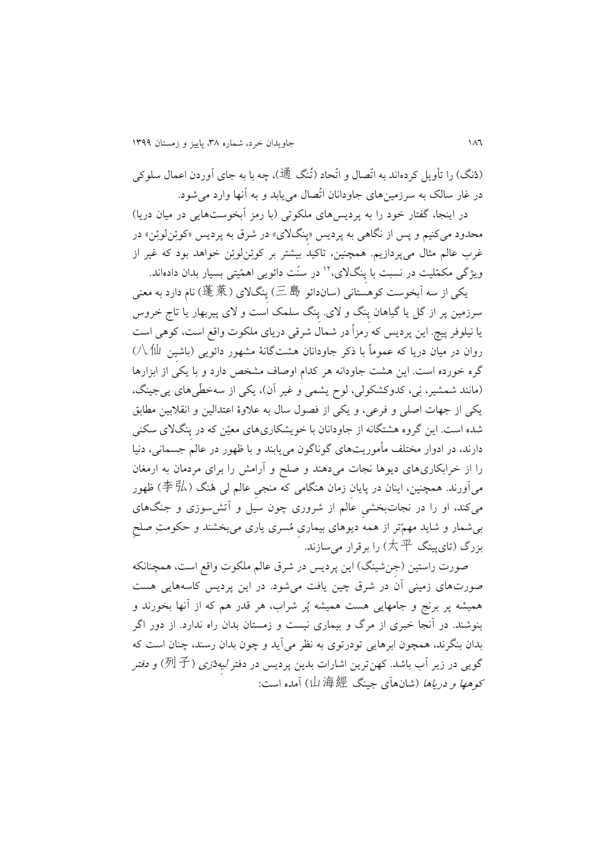)دُنگ( را تأويل کردهاند به اتّصال و اتّحاد )تُنگ 通)، چه با به جای آوردن اعمال سلوکی در غار سالک به سرزمینهای جاودانان اتّصال میيابد و به آنها وارد میشود.

در اينجا، گفتار خود را به پرديسهای ملکوتی (با رمز آبخوستهايی در میان دريا) محدود میکنیم و پس از نگاهی به پرديس »پِنگالی« در شرق به پرديس »کوئِنلوئِن« در غرب عالم مثال میپردازيم. همچنین، تاکید بیشتر بر کوئِنلوئِن خواهد بود که غیر از ویژگی مکمّلیت در نسبت با پنگلای،<sup>۱۲</sup> در سنّت دائویی اهمّیتی بسیار بدان دادهاند.

يکی از سه آبخوست کوهستانی )ساندائو 三島 )پِنگالی )蓬萊 )نام دارد به معنی سرزمین پر از گل يا گیاهان پِنگ و الی. پِنگ سلمک است و الی پیربهار يا تاج خروس يا نیلوفر پیچ. اين پرديس که رمزاً در شمال شرقی دريای ملکوت واقع است، کوهی است روان در میان دريا که عموماً با ذکر جاودانان هشتگانۀ مشهور دائويی )باشیِن 八仙 ) گره خورده است. اين هشت جاودانه هر کدام اوصاف مشخص دارد و با يکی از ابزارها )مانند شمشیر، نِی، کدوکشکولی، لوح يشمی و غیر آن(، يکی از سهخطّیهای يیجینگ، يکی از جهات اصلی و فرعی، و يکی از فصول سال به عالوۀ اعتدالین و انقالبین مطابق شده است. اين گروه هشتگانه از جاودانان با خويشکاریهای معیّن که در پِنگالی سکنی دارند، در ادوار مختلف مأموريتهای گوناگون میيابند و با ظهور در عالم جسمانی، دنیا را از خرابکاریهای ديوها نجات میدهند و صلح و آرامش را برای مردمان به ارمغان میآورند. همچنین، اینان در پایان زمان هنگامی که منجی عالم لی هُنگ (李弘) ظهور میکند، او را در نجاتبخشیِ عالم از شروری چون سیل و آتشسوزی و جنگهای بیشمار و شايد مهمّتر از همه ديوهای بیماریِ مُسری ياری میبخشند و حکومتِ صلحِ بزرگ )تایپینگ 太平 )را برقرار میسازند.

صورت راستین (جنشینگ) این پردیس در شرق عالم ملکوت واقع است، همچنانکه صورتهای زمینی آن در شرق چین يافت میشود. در اين پرديس کاسههايی هست همیشه پر برنج و جامهايی هست همیشه پُر شراب، هر قدر هم که از آنها بخورند و بنوشند. در آنجا خبری از مرگ و بیماری نیست و زمستان بدان راه ندارد. از دور اگر بدان بنگرند، همچون ابرهايی تودرتوی به نظر میآيد و چون بدان رسند، چنان است که گويی در زير آب باشد. کهنترين اشارات بدين پرديس در دفتر *ليه*ژ*زی (列子*) و *دفتر* کوهها و درياها )شانهآی جینگ 山海經 )آمده است: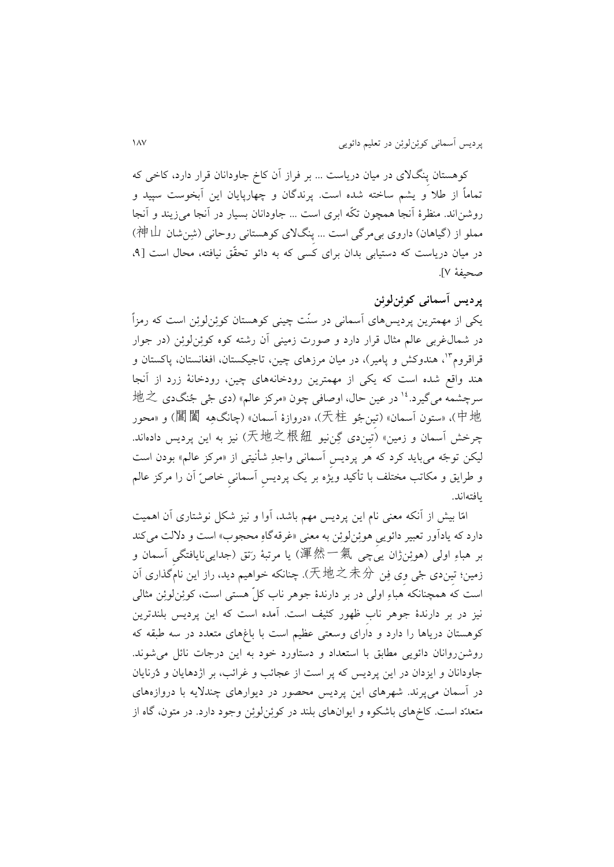کوهستان پِنگالی در میان درياست ... بر فراز آن کاخ جاودانان قرار دارد، کاخی که تماماً از طال و يشم ساخته شده است. پرندگان و چهارپايان اين آبخوست سپید و روشناند. منظرۀ آنجا همچون تکّه ابری است ... جاودانان بسیار در آنجا میزيند و آنجا مملو از (گیاهان) داروی بی مرگی است ... پِنگلای کوهستانی روحانی (شِنشان 神山) در میان درياست که دستیابی بدان برای کسی که به دائو تحقّق نیافته، محال است ]،1 صحیفۀ 7[.

## **پردیس آسمانی کوئِنلوئِن**

يکی از مهمترين پرديسهای آسمانی در سنّت چینی کوهستان کوئِنلوئِن است که رمزاً در شمالغربی عالم مثال قرار دارد و صورت زمینی آن رشته کوه کوئِنلوئِن )در جوار قراقروم<sup>۱۳</sup>، هندوکش و پامیر)، در میان مرزهای چین، تاجیکستان، افغانستان، پاکستان و هند واقع شده است که يکی از مهمترين رودخانههای چین، رودخانۀ زرد از آنجا  $\textrm{!t}$ نسرچشمه میگیرد. $^\textrm{!1}$  در عین حال، اوصافی چون «مرکز عالم» (دی جْی جُنگدی ط 中地)،« ستون آسمان« )تیِنجُو 天柱)،« دروازۀ آسمان« )چانگهِه 閶闔 )و »محور چرخش آسمان و زمین« )تیِندی گِننیو 天地之根紐 )نیز به اين پرديس دادهاند. لیکن توجّه میبايد کرد که هر پرديسِ آسمانی واجدِ شأنیتی از »مرکز عالم« بودن است و طرايق و مکاتب مختلف با تأکید ويژه بر يک پرديسِ آسمانیِ خاصّ آن را مرکز عالم يافتهاند.

امّا بیش از آنکه معنی نام اين پرديس مهم باشد، آوا و نیز شکل نوشتاری آن اهمیت دارد که يادآور تعبير دائويیِ هوئِنلوئِن به معنی «غرقهگاهِ محجوب» است و دلالت میکند بر هباءِ اولی (هوئِنژان يیچی 渾然一氣) يا مرتبۀ رَتق (جدايی،نايافتگی آسمان و زمین؛ تیِندی جْی وِی فِن 天地之未分). چنانکه خواهیم ديد، راز اين نامگذاری آن است که همچنانکه هباءِ اولی در بر دارندۀ جوهر ناب کلّ هستی است، کوئِنلوئِن مثالی نیز در بر دارندۀ جوهر نابِ ظهور کثیف است. آمده است که اين پرديس بلندترين کوهستان درياها را دارد و دارای وسعتی عظیم است با باغهای متعدد در سه طبقه که روشنروانان دائويی مطابق با استعداد و دستاورد خود به اين درجات نائل میشوند. جاودانان و ايزدان در اين پرديس که پر است از عجائب و غرائب، بر اژدهايان و دُرنايان در آسمان میپرند. شهرهای اين پرديس محصور در ديوارهای چنداليه با دروازههای متعدّد است. کاخهای باشکوه و ايوانهای بلند در کوئِنلوئِن وجود دارد. در متون، گاه از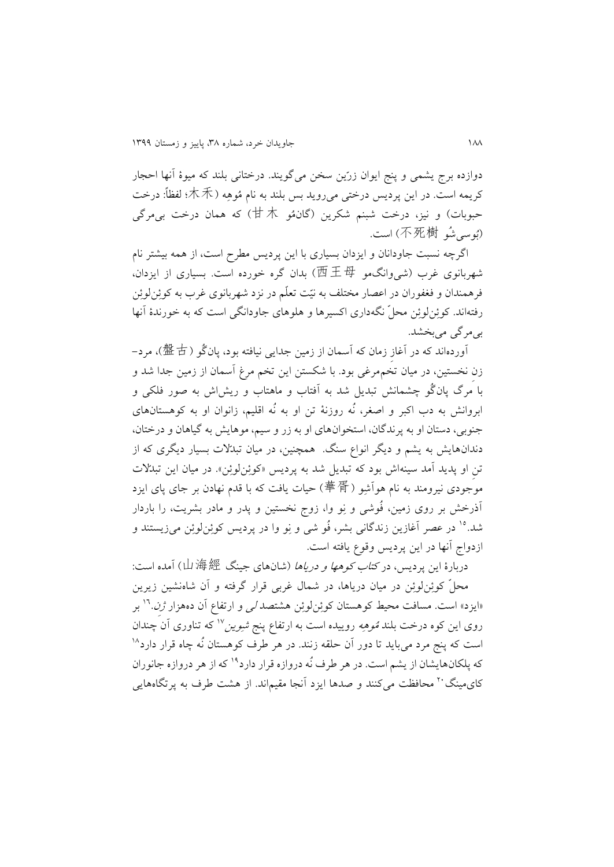دوازده برج يشمی و پنج ايوان زرّين سخن میگويند. درختانی بلند که میوۀ آنها احجار کريمه است. در اين پرديس درختی میرويد بس بلند به نام مُوهِه )木禾؛ لفظا:ً درخت حبوبات) و نیز، درخت شبنم شکرین (گان $\dag$  )که همان درخت بیمرگی )بُوسیشُو 不死樹 )است.

اگرچه نسبت جاودانان و ايزدان بسیاری با اين پرديس مطرح است، از همه بیشتر نام شهربانوی غرب )شیوانگمو 西王母 )بدان گره خورده است. بسیاری از ايزدان، فرهمندان و فغفوران در اعصار مختلف به نیّت تعلّم در نزد شهربانوی غرب به کوئِنلوئِن رفتهاند. کوئِنلوئِن محلّ نگهداری اکسیرها و هلوهای جاودانگی است که به خورندۀ آنها بیمرگی میبخشد.

آوردهاند که در آغازِ زمان که آسمان از زمین جدایی نیافته بود، پانگُو (盤古)، مرد– زنِ نخستین، در میان تخممرغی بود. با شکستن اين تخم مرغ آسمان از زمین جدا شد و با مرگ پانگُو چشمانش تبديل شد به آفتاب و ماهتاب و ريشاش به صور فلکی و ابروانش به دب اکبر و اصغر، نُه روزنۀ تن او به نُه اقلیم، زانوان او به کوهستانهای جنوبی، دستان او به پرندگان، استخوانهای او به زر و سیم، موهايش به گیاهان و درختان، دندانهايش به يشم و ديگر انواع سنگ. همچنین، در میان تبدّالت بسیار ديگری که از تنِ او پديد آمد سينهاش بود که تبديل شد به پرديس «کوئِنلوئِن». در ميان اين تبدّلات موجودی نیرومند به نام هوآشِو )華胥 )حیات يافت که با قدم نهادن بر جای پای ايزد آذرخش بر روی زمین، فُوشی و نِو وا، زوج نخستین و پدر و مادر بشريت، را باردار در عصر آغازين زندگانی بشر، فُو شی و نِو وا در پرديس کوئِنلوئِن میزيستند و <sup>01</sup> شد. ازدواج آنها در اين پرديس وقوع يافته است.

دربارۀ اين پرديس، در *کتاب کوهها و درياها* (شان@اي جينگ 山海經) آمده است: محلّ کوئِنلوئِن در میان درياها، در شمال غربی قرار گرفته و آن شاهنشین زيرين «ايزد» است. مسافت محيط كوهستان كوئِنلوئِن هشتصد *ل<sub>ى</sub> و ارتفاع آن د*ەهزار *ژِن*.<sup>١٦</sup> بر روی اين کوه درخت بلند *مُوهِه* روييده است به ارتفاع پنج *شوين*°′ که تناوری اَن َچندان 08 است که پنج مرد میبايد تا دور آن حلقه زنند. در هر طرف کوهستان نُه چاه قرار دارد که پلکانهايشان از يشم است. در هر طرف نُه دروازه قرار دارد<sup>۱۹</sup> که از هر دروازه جانوران کای مینگ ۲۰ محافظت میکنند و صدها ایزد آنجا مقیماند. از هشت طرف به پرتگاههایی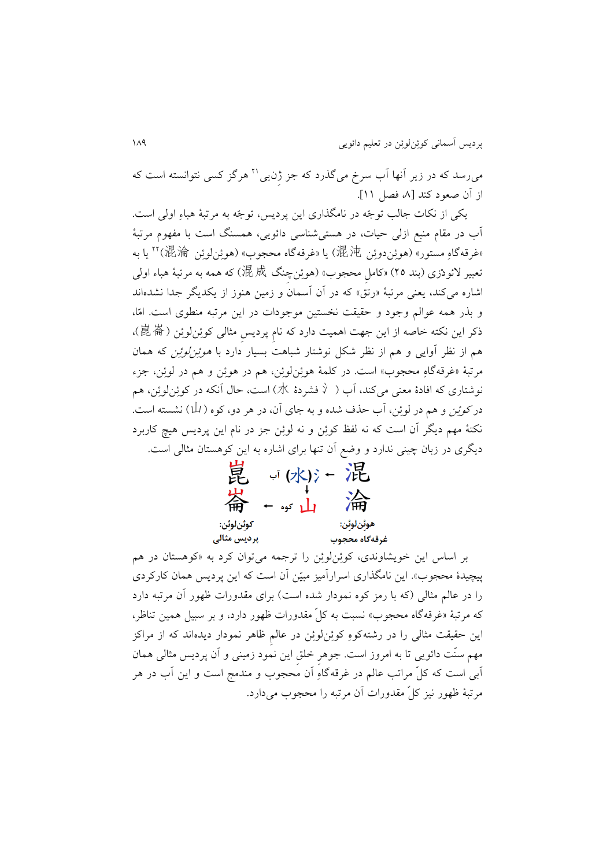می٫رسد که در زیر أنها أب سرخ میگذرد که جز ژِن،یی™ هرگز کسی نتوانسته است که از آن صعود کند [۸ فصل ۱۱].

يکی از نکات جالب توجّه در نامگذاری اين پرديس، توجّه به مرتبۀ هباءِ اولی است. آب در مقام منبع ازلی حیات، در هستیشناسی دائويی، همسنگ است با مفهوم مرتبۀ «غرقهگاهِ مستور» (هوئِندوئِن 混沌) يا «غرقهگاه محجوب» (هوئِنلوئِن 混淪) `` يا به تعبیر الئودْزی )بند 11( »کاملِ محجوب« )هوئِنچِنگ 混成 )که همه به مرتبۀ هباء اولی اشاره میکند، يعنی مرتبۀ «رتق» که در آن آسمان و زمين هنوز از يکديگر جدا نشدهاند و بذر همه عوالم وجود و حقیقت نخستین موجودات در اين مرتبه منطوی است. امّا، ذکر اين نکته خاصه از اين جهت اهميت دارد که نام پرديس مثالی کوئِنلوئِن (崑崙)، هم از نظر آوايی و هم از نظر شکل نوشتار شباهت بسیار دارد با هوئِنلوئِن که همان مرتبۀ «غرقهگاهِ محجوب» است. در کلمۀ هوئِن لوئِن، هم در هوئِن و هم در لوئِن، جزء نوشتاری که افادۀ معنی میکند، آب ( 氵 فشردۀ 水) است، حال آنکه در کوئِنلوئِن، هم در *کوئِن* و هم در لوئِن، آب حذف شده و به جای آن، در هر دو، کوه ( لــا) نشسته است. نکتۀ مهم ديگر آن است که نه لفظ کوئِن و نه لوئِن جز در نام اين پرديس هیچ کاربرد ديگری در زبان چینی ندارد و وضع آن تنها برای اشاره به اين کوهستان مثالی است.



بر اساس اين خويشاوندی، کوئِنلوئِن را ترجمه میتوان کرد به »کوهستان در هم پیچیدۀ محجوب«. اين نامگذاری اسرارآمیز مبیّن آن است که اين پرديس همان کارکردی را در عالم مثالی (که با رمز کوه نمودار شده است) برای مقدورات ظهور آن مرتبه دارد که مرتبۀ »غرقهگاه محجوب« نسبت به کلّ مقدورات ظهور دارد، و بر سبیل همین تناظر، اين حقیقت مثالی را در رشتهکوهِ کوئِنلوئِن در عالمِ ظاهر نمودار ديدهاند که از مراکز مهم سنّت دائويی تا به امروز است. جوهرِ خلقِ اين نمود زمینی و آن پرديس مثالی همان آبی است که کلّ مراتب عالم در غرقهگاهِ آن محجوب و مندمج است و اين آب در هر مرتبۀ ظهور نیز کلّ مقدورات آن مرتبه را محجوب میدارد.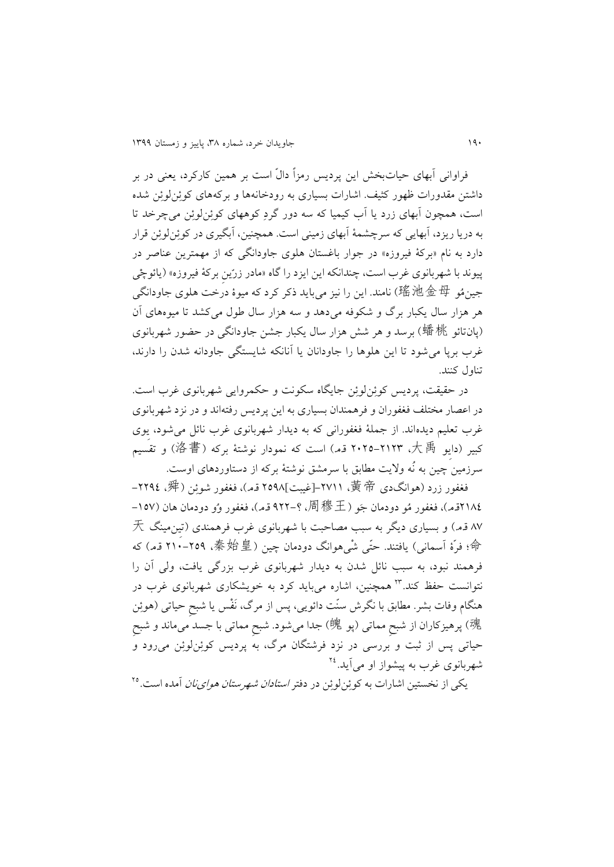فراوانی آبهای حیاتبخش اين پرديس رمزاً دالّ است بر همین کارکرد، يعنی در بر داشتن مقدورات ظهور کثیف. اشارات بسیاری به رودخانهها و برکههای کوئِنلوئِن شده است، همچون آبهای زرد يا آب کیمیا که سه دور گردِ کوههای کوئِنلوئِن میچرخد تا به دريا ريزد، آبهايی که سرچشمۀ آبهای زمینی است. همچنین، آبگیری در کوئِنلوئِن قرار دارد به نام »برکۀ فیروزه« در جوار باغستان هلوی جاودانگی که از مهمترين عناصر در پیوند با شهربانوی غرب است، چندانکه اين ايزد را گاه «مادر زرّين برکۀ فيروزه» (يائوچْی جینمُو 瑤池金母 )نامند. اين را نیز میبايد ذکر کرد که میوۀ درخت هلوی جاودانگی هر هزار سال يکبار برگ و شکوفه میدهد و سه هزار سال طول میکشد تا میوههای آن )پانتائو 蟠桃 )برسد و هر شش هزار سال يکبار جشن جاودانگی در حضور شهربانوی غرب برپا میشود تا اين هلوها را جاودانان يا آنانکه شايستگی جاودانه شدن را دارند، تناول کنند.

در حقیقت، پرديس کوئِنلوئِن جايگاه سکونت و حکمروايی شهربانوی غرب است. در اعصار مختلف فغفوران و فرهمندان بسیاری به اين پرديس رفتهاند و در نزد شهربانوی غرب تعلیم ديدهاند. از جملۀ فغفورانی که به ديدار شهربانوی غرب نائل میشود، يِوی کبیر )دايِو 大禹، 1111-1018 ق.م.( است که نمودار نوشتۀ برکه )洛書 )و تقسیم سرزمین چین به نُه واليت مطابق با سرمشق نوشتۀ برکه از دستاوردهای اوست.

فغفور زرد (هوانگدی 黃 帝، ۲۷۱۱-[غیبت]۲۵۹۸ ق.م)، فغفور شوئِن (舜، ۲۲۹٤-1114ق.م)، فغفور مُو دودمان جَو (周穆王، ؟–٩٢٢ ق.م)، فغفور وُو دودمان هان (١٥٧-87 ق.م.( و بسیاری ديگر به سبب مصاحبت با شهربانوی غرب فرهمندی )تیِنمینگ 天 命؛ فرّۀ آسمانی) یافتند. حتّی شْی هوانگ دودمان چین ( 秦始皇، ٢٥٩-٢١٠ ق.م) که فرهمند نبود، به سبب نائل شدن به ديدار شهربانوی غرب بزرگی يافت، ولی آن را نتوانست حفظ کند.<sup>۲۳</sup> همچنین، اشاره میباید کرد به خویشکاری شهربانوی غرب در هنگام وفات بشر. مطابق با نگرش سنّت دائويی، پس از مرگ، نَفْس يا شبحِ حیاتی )هوئِن 魂) پرهیزکاران از شبحِ مماتی (پو 魄) جدا میشود. شبحِ مماتی با جسد میماند و شبح حیاتی پس از ثبت و بررسی در نزد فرشتگان مرگ، به پرديس کوئِنلوئِن میرود و شهربانوی غرب به پیشواز او میآید.<sup>۲٤</sup>

یکی از نخستین اشارات به کوئِنلوئِن در دفتر *استادان شهرستان هوای نان* آمده است.<sup>۲۵</sup>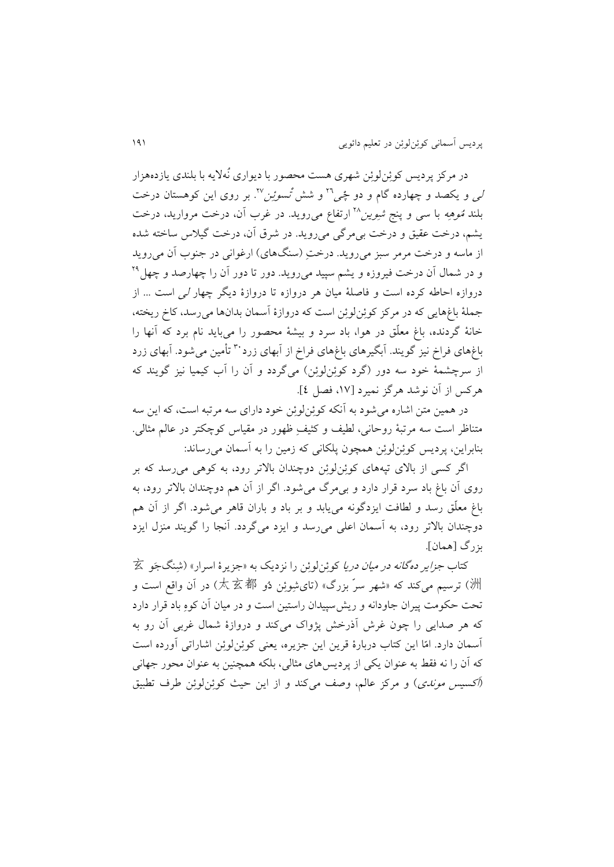در مرکز پرديس کوئِنلوئِن شهری هست محصور با ديواری نُهاليه با بلندی يازدههزار ل<sub>ی</sub> و یکصد و چهارده گام و دو چٔ<sub>ص</sub>™ و شش *تْسوئِن*™. بر روی این کوهستان درخت بلند *قوهِه* با سی و پنج *شوین*<sup>۲۸</sup> ارتفاع میرووید. در غرب آن، درخت مروارید، درخت يشم، درخت عقیق و درخت بیمرگی میرويد. در شرق آن، درخت گیالس ساخته شده از ماسه و درخت مرمر سبز می روید. درخت (سنگهای) ارغوانی در جنوب آن می روید و در شمال آن درخت فیروزه و یشم سپید میروید. دور تا دور آن را چهارصد و چهل<sup>۲۹</sup> دروازه احاطه کرده است و فاصلۀ میان هر دروازه تا دروازۀ ديگر چهار لی است ... از جملۀ باغهايی که در مرکز کوئِنلوئِن است که دروازۀ آسمان بدانها میرسد، کاخ ريخته، خانۀ گردنده، باغ معلّق در هوا، باد سرد و بیشۀ محصور را میبايد نام برد که آنها را باغهای فراخ نیز گویند. آبگیرهای باغهای فراخ از آبهای زرد<sup>۳۰</sup> تأمین میشود. آبهای زرد از سرچشمۀ خود سه دور )گرد کوئِنلوئِن( میگردد و آن را آب کیمیا نیز گويند که هرکس از آن نوشد هرگز نمیرد ]،07 فصل 1[.

در همین متن اشاره میشود به آنکه کوئِنلوئِن خود دارای سه مرتبه است، که اين سه متناظر است سه مرتبۀ روحانی، لطیف و کثیفِ ظهور در مقیاس کوچکتر در عالم مثالی. بنابراين، پرديس کوئِنلوئِن همچون پلکانی که زمین را به آسمان میرساند:

اگر کسی از باالی تپههای کوئِنلوئِن دوچندان باالتر رود، به کوهی میرسد که بر روی آن باغ باد سرد قرار دارد و بیمرگ میشود. اگر از آن هم دوچندان باالتر رود، به باغ معلّق رسد و لطافت ايزدگونه میيابد و بر باد و باران قاهر میشود. اگر از آن هم دوچندان باالتر رود، به آسمان اعلی میرسد و ايزد میگردد. آنجا را گويند منزل ايزد بزرگ ]همان[.

کتاب *جزاير دهگانه در ميان دريا* کوئِنلوئِن را نزديک به «جزيرۀ اسرار» (شِنگجَو 玄 洲) ترسیم میکند که «شهر سرّ بزرگ» (تایشِوئِن دُو 太玄都) در آن واقع است و تحت حکومت پیران جاودانه و ريشسپیدان راستین است و در میان آن کوهِ باد قرار دارد که هر صدايی را چون غرش آذرخش پژواک میکند و دروازۀ شمال غربی آن رو به آسمان دارد. امّا اين کتاب دربارۀ قرين اين جزيره، يعنی کوئِنلوئِن اشاراتی آورده است که آن را نه فقط به عنوان يکی از پرديسهای مثالی، بلکه همچنین به عنوان محور جهانی )اَکسیس موندی( و مرکز عالم، وصف میکند و از اين حیث کوئِنلوئِن طرف تطبیق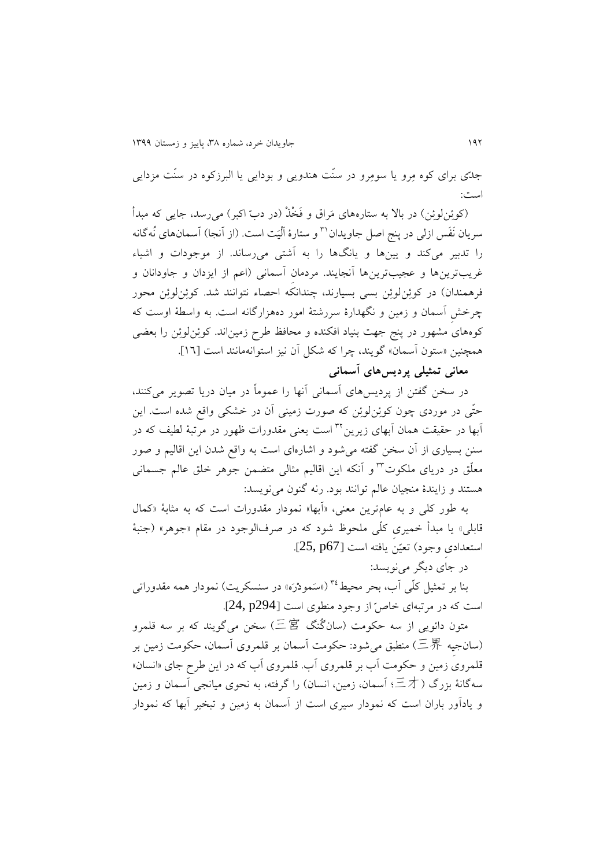جدّی برای کوه مِرو يا سومِرو در سنّت هندويی و بودايی يا البرزکوه در سنّت مزدايی است:

)کوئِنلوئِن( در باال به ستارههای مَراق و فَخْذْ )در دبّ اکبر( میرسد، جايی که مبدأ سريان نَفَس ازلی در پنج اصل جاويدان™ و ستارۀ اَلْیَت است. (از اَنجا) اَسمانهای نُهگانه را تدبیر میکند و يینها و يانگها را به آشتی میرساند. از موجودات و اشیاء غريبترينها و عجیبترينها آنجايند. مردمانِ آسمانی )اعم از ايزدان و جاودانان و فرهمندان) در کوئِنلوئِن بسی بسیارند، چندانکه احصاء نتوانند شد. کوئِنلوئِن محور چرخشِ آسمان و زمین و نگهدارۀ سررشتۀ امور دههزارگانه است. به واسطۀ اوست که کوههای مشهور در پنج جهت بنیاد افکنده و محافظ طرح زمیناند. کوئِنلوئِن را بعضی همچنین »ستون آسمان« گويند، چرا که شکل آن نیز استوانهمانند است ]06[.

**معانی تمثیلی پردیسهای آسمانی**

در سخن گفتن از پرديسهای آسمانی آنها را عموماً در میان دريا تصوير میکنند، حتّی در موردی چون کوئِنلوئِن که صورت زمینی آن در خشکی واقع شده است. اين آبها در حقیقت همان آبهای زیرین™ است یعنی مقدورات ظهور در مرتبۀ لطیف که در سنن بسیاری از آن سخن گفته میشود و اشارهای است به واقع شدن اين اقالیم و صور معلّق در دريای ملکوت<sup>۲۳</sup> و آنکه اين اقاليم مثالی متضمن جوهر خلق عالم جسمانی هستند و زايندۀ منجیان عالم توانند بود. رنه گنون مینويسد:

به طور کلّی و به عامترين معنی، «آبها» نمودار مقدورات است که به مثابۀ «کمال قابلی» يا مبدأ خمیری کلّی ملحوظ شود که در صرفالوجود در مقام «جوهر» (جنبۀ استعدادیِ وجود( تعیّن يافته است ]67p 25,].

در جای ديگر مینويسد:

بنا بر تمثيل كلّی آب، بحر محیطٌ <sup>۳ (</sup>«سَمودْرَه» در سنسکريت) نمودار همه مقدوراتی است که در مرتبهای خاصّ از وجود منطوی است ]294p 24,].

متون دائويی از سه حکومت )سانگُنگ 三宮 )سخن میگويند که بر سه قلمرو )سانجیِه 三界 )منطبق میشود: حکومت آسمان بر قلمروی آسمان، حکومت زمین بر قلمروی زمین و حکومت آب بر قلمروی آب. قلمروی آب که در اين طرح جای »انسان« سهگانۀ بزرگ (三才؛ آسمان، زمین، انسان) را گرفته، به نحوی میانجی آسمان و زمین و يادآور باران است که نمودار سیری است از آسمان به زمین و تبخیر آبها که نمودار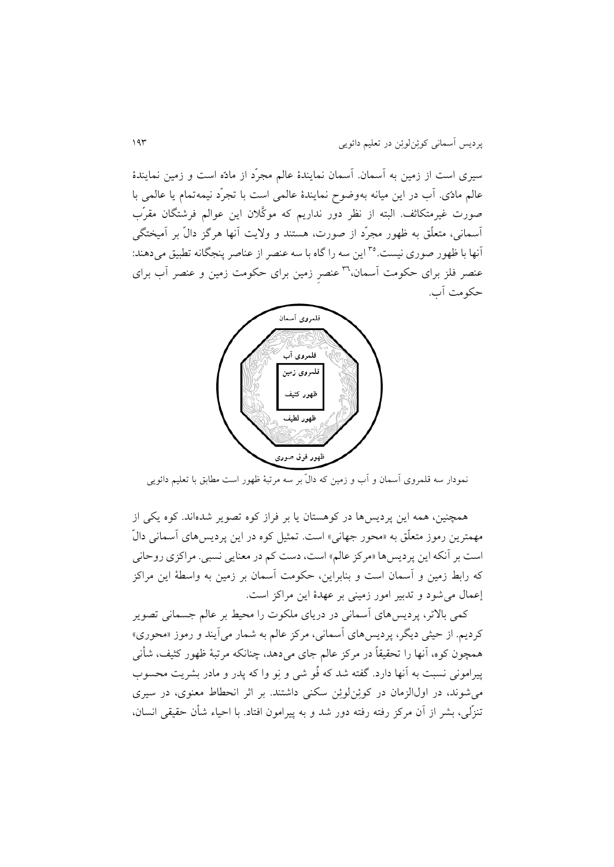سیری است از زمین به آسمان. آسمان نمايندۀ عالم مجرّد از مادّه است و زمین نمايندۀ عالم مادّی. آب در اين میانه بهوضوح نمايندۀ عالمی است با تجرّد نیمهتمام يا عالمی با صورت غیرمتکاثف. البته از نظر دور نداريم که موکَّالن اين عوالم فرشتگان مقرّب آسمانی، متعلّق به ظهور مجرّد از صورت، هستند و واليت آنها هرگز دالّ بر آمیختگی آنها با ظهور صوری نیست.°° این سه را گاه با سه عنصر از عناصر پنجگانه تطبیق می دهند: عنصر فلز برای حکومت آسمان،''' عنصر زمین برای حکومت زمین و عنصر آب برای حکومت آب.



ّ نمودار سه قلمروی آسمان و آب و زمین که دال بر سه مرتبۀ ظهور است مطابق با تعلیم دائويی

همچنین، همه اين پرديسها در کوهستان يا بر فراز کوه تصوير شدهاند. کوه يکی از مهمترين رموز متعلّق به »محور جهانی« است. تمثیل کوه در اين پرديسهای آسمانی دالّ است بر آنکه اين پرديسها »مرکز عالم« است، دست کم در معنايی نسبی. مراکزی روحانی که رابط زمین و آسمان است و بنابراين، حکومت آسمان بر زمین به واسطۀ اين مراکز إعمال میشود و تدبیر امور زمینی بر عهدۀ اين مراکز است.

کمی باالتر، پرديسهای آسمانی در دريای ملکوت را محیط بر عالم جسمانی تصوير کرديم. از حیثی ديگر، پرديسهای آسمانی، مرکز عالم به شمار میآيند و رموز »محوری« همچون کوه، آنها را تحقیقاً در مرکز عالم جای میدهد، چنانکه مرتبۀ ظهور کثیف، شأنی پیرامونی نسبت به آنها دارد. گفته شد که فُو شی و نِو وا که پدر و مادر بشريت محسوب میشوند، در اولالزمان در کوئِنلوئِن سکنی داشتند. بر اثر انحطاط معنوی، در سیری تنزّلی، بشر از آن مرکز رفته رفته دور شد و به پیرامون افتاد. با احیاء شأن حقیقی انسان،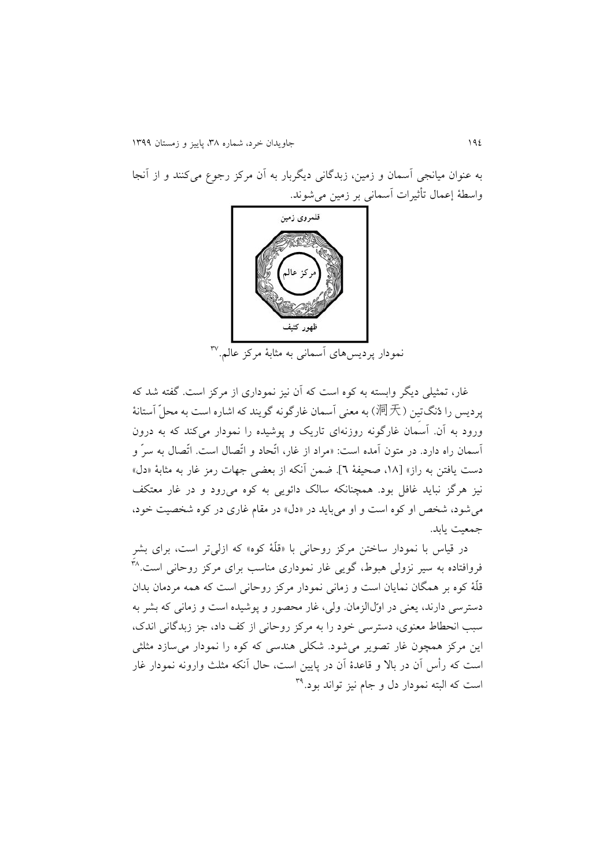به عنوان میانجی آسمان و زمین، زبدگانی ديگربار به آن مرکز رجوع میکنند و از آنجا واسطۀ إعمال تأثیرات آسمانی بر زمین میشوند.



87 نمودار پرديسهای آسمانی به مثابۀ مرکز عالم.

غار، تمثیلی ديگر وابسته به کوه است که آن نیز نموداری از مرکز است. گفته شد که یر دیس را دُنگتین (洞天) به معنی آسمان غارگونه گويند که اشاره است به محلّ آستانۀ ورود به آن. آسمان غارگونه روزنهای تاريک و پوشیده را نمودار میکند که به درون آسمان راه دارد. در متون آمده است: »مراد از غار، اتّحاد و اتّصال است. اتّصال به سرّ و دست يافتن به راز« ]،08 صحیفۀ 6[. ضمن آنکه از بعضی جهات رمز غار به مثابۀ »دل« نیز هرگز نبايد غافل بود. همچنانکه سالک دائويی به کوه میرود و در غار معتکف میشود، شخص او کوه است و او میبايد در »دل« در مقام غاری در کوه شخصیت خود، جمعیت يابد.

در قیاس با نمودار ساختن مرکز روحانی با »قلّۀ کوه« که ازلیتر است، برای بشرِ فروافتاده به سیر نزولی هبوط، گویی غار نموداری مناسب برای مرکز روحانی است.<sup>۲۸</sup> قلّۀ کوه بر همگان نمايان است و زمانی نمودار مرکز روحانی است که همه مردمان بدان دسترسی دارند، يعنی در اوّلالزمان. ولی، غار محصور و پوشیده است و زمانی که بشر به سبب انحطاط معنوی، دسترسی خود را به مرکز روحانی از کف داد، جز زبدگانی اندک، اين مرکز همچون غار تصوير میشود. شکلی هندسی که کوه را نمودار میسازد مثلثی است که رأس آن در باال و قاعدۀ آن در پايین است، حال آنکه مثلث وارونه نمودار غار ست که البته نمودار دل و جام نیز تواند بود.<sup>۳۹</sup>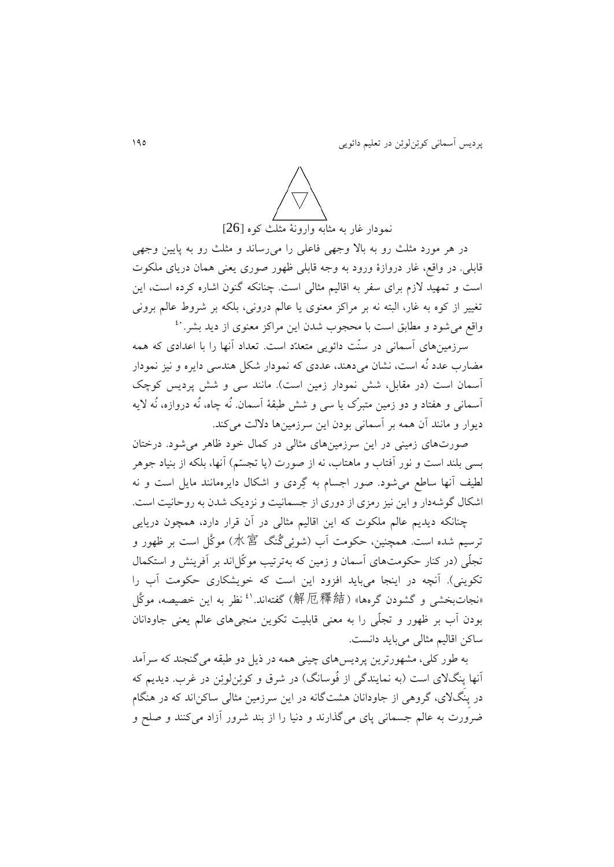

در هر مورد مثلث رو به باال وجهی فاعلی را میرساند و مثلث رو به پايین وجهی قابلی. در واقع، غار دروازۀ ورود به وجه قابلی ظهور صوری يعنی همان دريای ملکوت است و تمهید الزم برای سفر به اقالیم مثالی است. چنانکه گنون اشاره کرده است، اين تغییر از کوه به غار، البته نه بر مراکز معنوی يا عالم درونی، بلکه بر شروط عالم برونی 11 واقع میشود و مطابق است با محجوب شدن اين مراکز معنوی از ديد بشر.

سرزمینهای آسمانی در سنّت دائويی متعدّد است. تعداد آنها را با اعدادی که همه مضارب عدد نُه است، نشان میدهند، عددی که نمودار شکل هندسی دايره و نیز نمودار آسمان است (در مقابل، شش نمودار زمین است). مانند سی و شش پردیس کوچک آسمانی و هفتاد و دو زمین متبرّک يا سی و شش طبقۀ آسمان. نُه چاه، نُه دروازه، نُه اليه ديوار و مانند آن همه بر آسمانی بودن اين سرزمینها داللت میکند.

صورتهای زمینی در اين سرزمینهای مثالی در کمال خود ظاهر میشود. درختان بسی بلند است و نور آفتاب و ماهتاب، نه از صورت (يا تجسّم) آنها، بلکه از بنیاد جوهر لطیف آنها ساطع میشود. صور اجسام به گِردی و اشکال دايرهمانند مايل است و نه اشکال گوشهدار و اين نیز رمزی از دوری از جسمانیت و نزديک شدن به روحانیت است.

چنانکه ديديم عالم ملکوت که اين اقالیم مثالی در آن قرار دارد، همچون دريايی ترسیم شده است. همچنین، حکومت آب (شوئِیگُنگ 水宮) موکَّل است بر ظهور و تجلّی (در کنار حکومتهای آسمان و زمین که بهترتیب موکّل اند بر آفرینش و استکمال تکوينی). آنچه در اينجا میبايد افزود اين است که خويشکاری حکومت آب را «نجاتبخشی و گشودن گرهها» (解厄釋結) گفتهاند.<sup>3</sup> نظر به این خصیصه، موکَّل بودن آب بر ظهور و تجلّی را به معنی قابلیت تکوين منجیهای عالم يعنی جاودانان ساکن اقالیم مثالی میبايد دانست.

به طور کلی، مشهورترين پرديسهای چینی همه در ذيل دو طبقه میگنجند که سرآمد آنها پِنگالی است )به نمايندگی از فُوسانگ( در شرق و کوئِنلوئِن در غرب. ديديم که در پِنگالی، گروهی از جاودانان هشتگانه در اين سرزمین مثالی ساکناند که در هنگام ضرورت به عالم جسمانی پای میگذارند و دنیا را از بند شرور آزاد میکنند و صلح و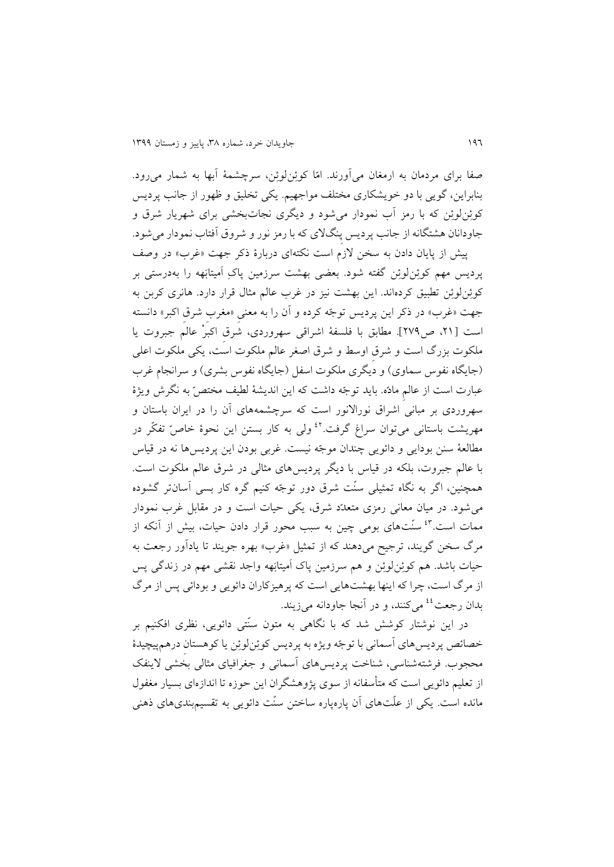صفا برای مردمان به ارمغان میآورند. امّا کوئِنلوئِن، سرچشمۀ آبها به شمار میرود. بنابراين، گويی با دو خويشکاری مختلف مواجهیم. يکی تخلیق و ظهور از جانب پرديس کوئِنلوئِن که با رمز آب نمودار میشود و ديگری نجاتبخشی برای شهريار شرق و جاودانان هشتگانه از جانب پرديس پِنگالی که با رمز نور و شروق آفتاب نمودار میشود.

پیش از پایان دادن به سخن لازم است نکتهای دربارۀ ذکر جهت «غرب» در وصف پرديس مهم کوئِنلوئِن گفته شود. بعضی بهشت سرزمین پاکِ اَمیتابَهه را بهدرستی بر کوئِنلوئِن تطبیق کردهاند. اين بهشت نیز در غرب عالم مثال قرار دارد. هانری کربن به جهت «غرب» در ذکر اين پرديس توجّه کرده و آن را به معنیِ «مغربِ شرقِ اکبر» دانسته است ]،10 ص171[. مطابق با فلسفۀ اشراقی سهروردی، شرقِ اکبرْ عالم جبروت يا ملکوت بزرگ است و شرقِ اوسط و شرق اصغر عالم ملکوت است، يکی ملکوت اعلی (جايگاه نفوس سماوي) و ديگري ملکوت اسفل (جايگاه نفوس بشري) و سرانجام غرب عبارت است از عالمِ مادّه. بايد توجّه داشت که اين انديشۀ لطیف مختصّ به نگرش ويژۀ سهروردی بر مبانی اشراق نوراالنور است که سرچشمههای آن را در ايران باستان و مهريشت باستانی میتوان سراغ گرفت.<sup>٤٢</sup> ولی به کار بستن اين نحوۀ خاصّ تفکّر در مطالعۀ سنن بودايی و دائويی چندان موجّه نیست. غربی بودن اين پرديسها نه در قیاس با عالم جبروت، بلکه در قیاس با ديگر پرديسهای مثالی در شرق عالم ملکوت است. همچنین، اگر به نگاه تمثیلی سنّت شرق دور توجّه کنیم گره کار بسی آسانتر گشوده میشود. در میان معانی رمزی متعدّد شرق، يکی حیات است و در مقابل غرب نمودار ممات است.<sup>۶۳</sup> سنّتهای بومی چین به سبب محور قرار دادن حیات، بیش از آنکه از مرگ سخن گويند، ترجيح ميدهند که از تمثيل «غرب» بهره جويند تا يادآور رجعت به حیات باشد. هم کوئِنلوئِن و هم سرزمین پاک اَمیتابَهه واجد نقشی مهم در زندگی پس از مرگ است، چرا که اينها بهشتهايی است که پرهیزکاران دائويی و بودائی پس از مرگ بدان رجعت<sup>٤٤</sup> میکنند، و در آنجا جاودانه میزيند.

در اين نوشتار کوشش شد که با نگاهی به متون سنّتی دائويی، نظری افکنیم بر خصائص پرديسهای آسمانی با توجّه ويژه به پرديس کوئِنلوئِن يا کوهستانِ درهمپیچیدۀ محجوب. فرشتهشناسی، شناخت پرديسهای آسمانی و جغرافیای مثالی بخشی الينفک از تعلیم دائويی است که متأسفانه از سوی پژوهشگران اين حوزه تا اندازهای بسیار مغفول مانده است. يکی از علّتهای آن پارهپاره ساختن سنّت دائويی به تقسیمبندیهای ذهنی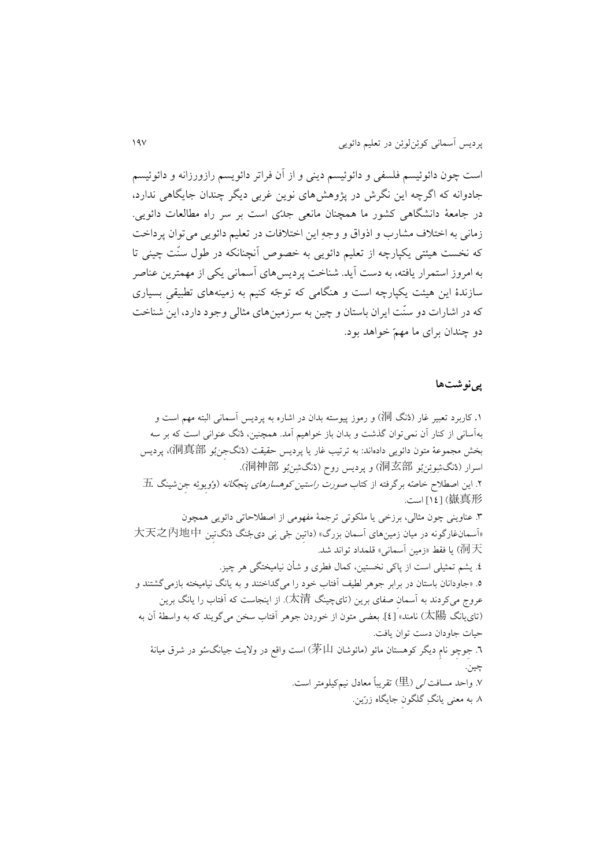است چون دائوئیسم فلسفی و دائوئیسم دينی و از آن فراتر دائويسم رازورزانه و دائوئیسم جادوانه که اگرچه اين نگرش در پژوهشهای نوين غربی ديگر چندان جايگاهی ندارد، در جامعۀ دانشگاهی کشور ما همچنان مانعی جدّی است بر سر راه مطالعات دائويی. زمانی به اختالف مشارب و اذواق و وجهِ اين اختالفات در تعلیم دائويی میتوان پرداخت که نخست هیئتی يکپارچه از تعلیم دائويی به خصوص آنچنانکه در طول سنّت چینی تا به امروز استمرار يافته، به دست آيد. شناخت پرديسهای آسمانی يکی از مهمترين عناصر سازندۀ اين هیئت يکپارچه است و هنگامی که توجّه کنیم به زمینههای تطبیقیِ بسیاری که در اشارات دو سنّت ايران باستان و چین به سرزمینهای مثالی وجود دارد، اين شناخت دو چندان برای ما مهمّ خواهد بود.

### **پینوش ها**

.0 کاربرد تعبیر غار )دُنگ 洞 )و رموز پیوسته بدان در اشاره به پرديس آسمانی البته مهم است و بهآسانی از کنار آن نمیتوان گذشت و بدان باز خواهیم آمد. همچنین، دُنگ عنوانی است که بر سه بخش مجموعۀ متون دائويی دادهاند: به ترتیب غار يا پرديس حقیقت )دُنگجِنبُو 洞真部)، پرديس اسرار )دُنگشِوئِنبُو 洞玄部 )و پرديس روح )دُنگشِنبُو 洞神部). .1 اين اصطالح خاصّه برگرفته از کتاب صورت راستین کوهسارهای پنجگانه )وُويِوئِه جِنشینگ 五 嶽真形[ )01 ]است. .8 عناوينی چون مثالی، برزخی يا ملکوتی ترجمۀ مفهومی از اصطالحاتی دائويی همچون »آسمانغارگونه در میان زمینهای آسمان بزرگ« )داتیِن جْی نِی دیجُنگ دُنگتیِن 大天之內地中 洞天 )يا فقط »زمین آسمانی« قلمداد تواند شد. .1 يشم تمثیلی است از پاکی نخستین، کمال فطری و شأن نیامیختگی هر چیز. .1 »جاودانان باستان در برابر جوهر لطیف آفتاب خود را میگداختند و به يانگ نیامیخته بازمیگشتند و عروج میکردند به آسمانِ صفای برين )تایچینگ 太清). از اينجاست که آفتاب را يانگ برين )تایيانگ 太陽 )نامند« ]1[. بعضی متون از خوردن جوهر آفتاب سخن میگويند که به واسطۀ آن به حیات جاودان دست توان يافت. .6 جِوچِو نامِ ديگر کوهستان مائو )مائوشان 茅山 )است واقع در واليت جیانگسُو در شرق میانۀ چین. .7 واحد مسافت لی )里 )تقريباً معادل نیمکیلومتر است. .8 به معنی يانگِ گلگونِ جايگاه زرّين.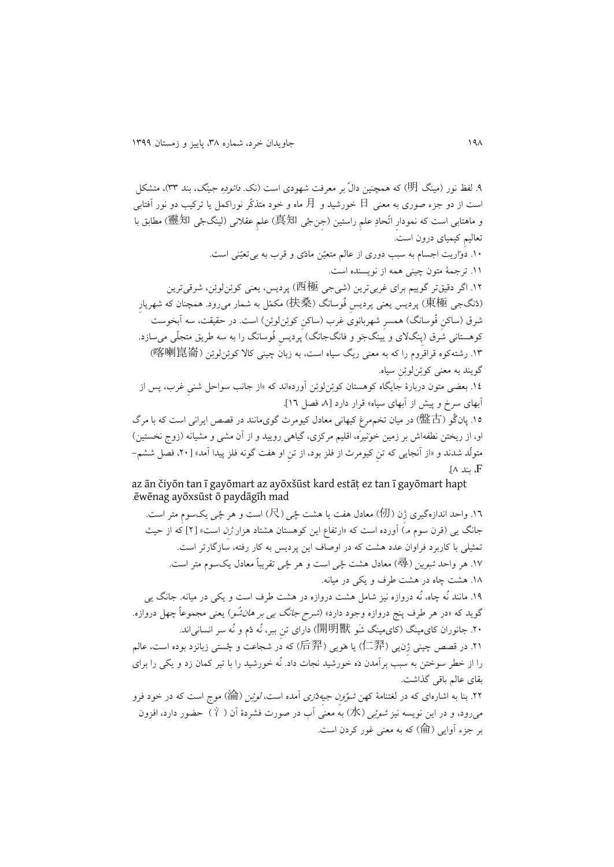.1 لفظ نور )مینگ 明 )که همچنین دالّ بر معرفت شهودی است )نک. دائودِه جینگ، بند 88(، متشکل است از دو جزء صوری به معنی 日 خورشید و 月 ماه و خود متذکّر نوراکمل يا ترکیب دو نور آفتابی و ماهتابی است که نمودارِ اتّحادِ علمِ راستین (جنجْی 真知) علمِ عقلانی (لینگجْی 靈知) مطابق با تعالیمِ کیمیای درون است. .01 دوّاريت اجسام به سبب دوری از عالم متعیّن مادّی و قرب به بیتعیّنی است. .00 ترجمۀ متون چینی همه از نويسنده است. .01 اگر دقیقتر گويیم برای غربیترين )شیجی 西極 )پرديس، يعنی کوئِنلوئِن، شرقیترين )دُنگجی 東極 )پرديس يعنی پرديسِ فُوسانگ )扶桑 )مکمّل به شمار میرود. همچنان که شهريارِ شرق (ساکن فُوسانگ) همسرِ شهربانوی غرب (ساکن کوئِنلوئِن) است. در حقیقت، سه آبخوست کوهستانی شرق (پِنگلای و يينگجَو و فانگجانگ) پِرديس فُوسانگ را به سه طريق متجلّی می سازد. .08 رشتهکوه قراقروم را که به معنی ريگ سیاه است، به زبان چینی کاال کوئِنلوئِن )喀喇崑崙 ) گويند به معنی کوئِنلوئِنِ سیاه. .01 بعضی متون دربارۀ جايگاه کوهستان کوئِنلوئِن آوردهاند که »از جانب سواحل شنیِ غرب، پس از آبهای سرخ و پیش از آبهای سیاه» قرار دارد [۸ فصل ۱۲]. .01 پانگُو )盤古 )در میان تخممرغ کیهانی معادل کیومرث گویمانند در قصص ايرانی است که با مرگ او، از ريختن نطفهاش بر زمین خوَنیرَه، اقلیم مرکزی، گیاهی رويید و از آن مشی و مشیانه )زوج نخستین( متولّد شدند و »از آنجايی که تنِ کیومرث از فلز بود، از تنِ او هفت گونه فلز پیدا آمد« ]،11 فصل ششم- . بند  $\Lambda$ ].

az ān čiyōn tan ī gayōmart az ayōxšūst kard estāṭ ez tan ī gayōmart hapt .ēwēnag ayōxsūst ō paydāgīh mad

.06 واحد اندازهگیری ژِن )仞 )معادل هفت يا هشت چْی )尺 )است و هر چْی يکسومِ متر است. جانگ يی (قرن سوم مـ) آورده است که «ارتفاع اين کوهستان هشتاد هزار *ژن* است» [۲] که از حیث تمثیلی با کاربرد فراوان عدد هشت که در اوصاف اين پرديس به کار رفته، سازگارتر است. .07 هر واحد شِوين )尋 )معادل هشت چْی است و هر چْی تقريباً معادل يکسوم متر است. .08 هشت چاه در هشت طرف و يکی در میانه. .01 مانند نُه چاه، نُه دروازه نیز شامل هشت دروازه در هشت طرف است و يکی در میانه. جانگ يی گويد که «در هر طرف پنج دروازه وجود دارد» (*شرح جانگ يبي بر هان شُو*) يعنی مجموعاً چهل دروازه. .11 جانوران کایمینگ )کایمینگ شَو 開明獸 )دارای تنِ ببر، نُه دُم و نُه سر انسانیاند. .10 در قصص چینی ژِنيی )仁羿 )يا هَويی )后羿 )که در شجاعت و چُستی زبانزد بوده است، عالم را از خطر سوختن به سبب برآمدن دَه خورشید نجات داد. نُه خورشید را با تیر کمان زد و يکی را برای بقای عالم باقی گذاشت. .11 بنا به اشارهای که در لغتنامۀ کهن شوُوِن جیِهدْزی آمده است، لوئِن )淪 )موج است که در خود فرو میرود، و در اين نويسه نيز *شوئِی (*水) به معنی آب در صورت فشردۀ آن ( Ý ) حضور دارد، افزون

بر جزء آوایی (倫) که به معنی غور کردن است.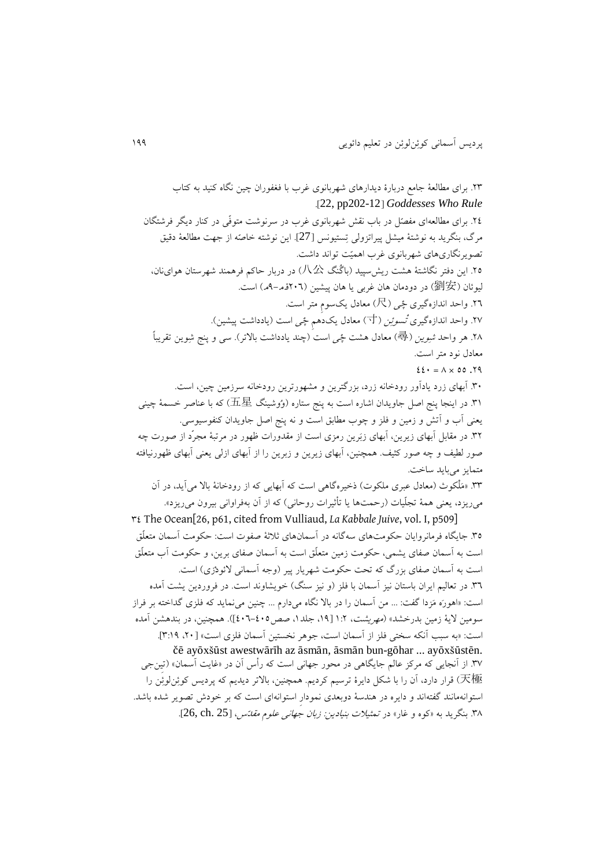متمايز میبايد ساخت.

.18 برای مطالعۀ جامع دربارۀ ديدارهای شهربانوی غرب با فغفوران چین نگاه کنید به کتاب .]22, pp202-12[ *Goddesses Who Rule* .11 برای مطالعهای مفصّل در باب نقش شهربانوی غرب در سرنوشت متوفّی در کنار ديگر فرشتگان مرگ، بنگريد به نوشتۀ میشل پیراتزولی تِستیونس ]27[. اين نوشته خاصّه از جهت مطالعۀ دقیق تصويرنگاریهای شهربانوی غرب اهمیّت تواند داشت. .11 اين دفتر نگاشتۀ هشت ريشسپید )باگُنگ 八公 )در دربار حاکم فرهمند شهرستان هواینان، لیوئان (劉安) در دودمان هان غربی یا هان پیشین (۲۰۲قهـ–۹م) است. .16 واحد اندازهگیری چْی )尺 )معادل يکسومِ متر است. .17 واحد اندازهگیری تْسوئِن )寸 )معادل يکدهمِ چْی است )يادداشت پیشین(. .<br>۲۸. هر واحد *شِوين (*尋) معادل هشت *چُی* است (چند يادداشت بالاتر). سی و پنج شِوين تقريباً معادل نود متر است.  $22 \cdot 1 = \lambda \times 00$ . 19

.81 آبهای زرد يادآور رودخانه زرد، بزرگترين و مشهورترين رودخانه سرزمین چین، است. .80 در اينجا پنج اصل جاويدان اشاره است به پنج ستاره )وُوشینگ 五星 )که با عناصر خسمۀ چینی يعنی آب و آتش و زمین و فلز و چوب مطابق است و نه پنج اصل جاويدان کنفوسیوسی. .81 در مقابل آبهای زيرين، آبهای زبَرين رمزی است از مقدورات ظهور در مرتبۀ مجرّد از صورت چه صور لطیف و چه صور کثیف. همچنین، آبهای زيرين و زبرين را از آبهای ازلی يعنی آبهای ظهورنیافته

.88 »مَلْکوث )معادل عبری ملکوت( ذخیرهگاهی است که آبهايی که از رودخانۀ باال میآيد، در آن میريزد، يعنی همۀ تجلّيات (رحمتها يا تأثيرات روحانی) که از آن بهفراوانی بيرون میريزد».

81 The Ocean[26, p61, cited from Vulliaud, *La Kabbale Juive*, vol. I, p509] .81 جايگاه فرمانروايان حکومتهای سهگانه در آسمانهای ثالثۀ صفوت است: حکومت آسمان متعلّق است به آسمان صفای يشمی، حکومت زمین متعلّق است به آسمان صفای برين، و حکومت آب متعلّق است به آسمان صفای بزرگ که تحت حکومت شهريار پير (وجه آسمانی لائودْزی) است. .86 در تعالیم ايران باستان نیز آسمان با فلز )و نیز سنگ( خويشاوند است. در فروردين يشت آمده است: »اهورَه مَزدا گفت: ... من آسمان را در باال نگاه میدارم ... چنین مینمايد که فلزی گداخته بر فراز سومین لایۀ زمین بدرخشد» (*مهریشت*، ۱:۲ [۱۹، جلد۱، صص۱۰۵-۲۰۲]). همچنین، در بندهشن آمده است: »به سبب آنکه سختی فلز از آسمان است، جوهر نخستین آسمان فلزی است« ]،11 8:01[. čē ayōxšūst awestwārīh az āsmān, āsmān bun-gōhar ... ayōxšūstēn. .87 از آنجايی که مرکز عالم جايگاهی در محور جهانی است که رأس آن در »غايت آسمان« )تیِنجی 天極) قرار دارد، آن را با شکل دايرۀ ترسيم کرديم. همچنين، بالاتر ديديم که پرديس کوئِنلوئِن را استوانهمانند گفتهاند و دايره در هندسۀ دوبعدی نمودارِ استوانهای است که بر خودش تصوير شده باشد. ۳۸. بنگريد به «کوه و غار» در *تمثيلات بنيادين: زبان جهانی علوم مقدّس،* [25, ch. 25].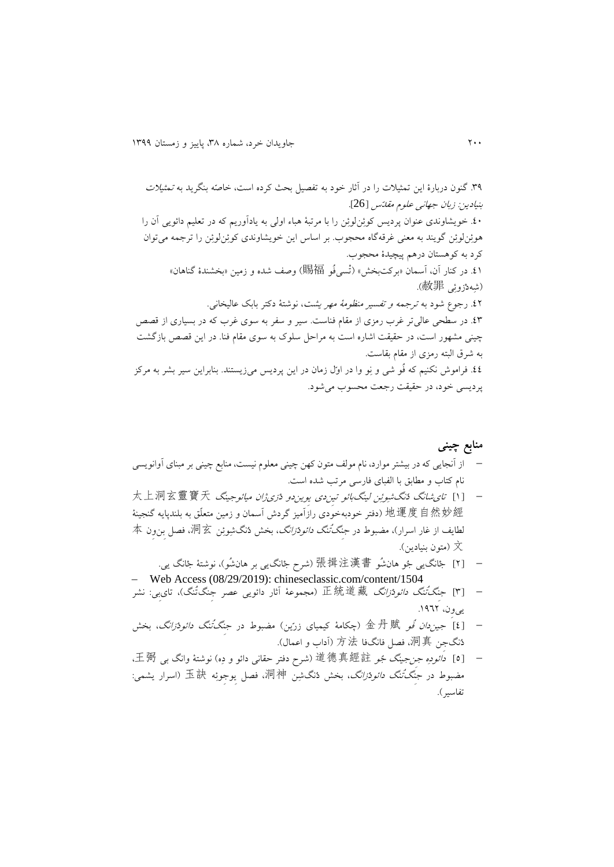.81 گنون دربارۀ اين تمثیالت را در آثار خود به تفصیل بحث کرده است، خاصّه بنگريد به تمثیالت بنیادين: زبان جهانی علوم مقدّس ]26[. .11 خويشاوندی عنوان پرديس کوئِنلوئِن را با مرتبۀ هباء اولی به يادآوريم که در تعلیم دائويی آن را هوئِنلوئِن گويند به معنی غرقهگاه محجوب. بر اساس اين خويشاوندی کوئِنلوئِن را ترجمه میتوان کرد به کوهستان درهم پیچیدۀ محجوب. .10 در کنار آن، آسمان »برکتبخش« )تْسیفُو 賜福 )وصف شده و زمین »بخشندۀ گناهان« )شِهدْزوئِی 赦罪). .11 رجوع شود به ترجمه و تفسیر منظومۀ مهر يشت، نوشتۀ دکتر بابک عالیخانی. .18 در سطحی عالیتر غرب رمزی از مقام فناست. سیر و سفر به سوی غرب که در بسیاری از قصص چینی مشهور است، در حقیقت اشاره است به مراحل سلوک به سوی مقام فنا. در اين قصص بازگشت به شرق البته رمزی از مقام بقاست. .11 فراموش نکنیم که فُو شی و نِو وا در اوّل زمان در اين پرديس میزيستند. بنابراين سیر بشر به مرکز پرديسی خود، در حقیقت رجعت محسوب میشود.

#### **منابع چینی**

- از آنجايی که در بیشتر موارد، نام مولف متون کهن چینی معلوم نیست، منابع چینی بر مبنای آوانويسی نام کتاب و مطابق با الفبای فارسی مرتب شده است.
- [ <sup>0</sup> ]تایشانگ دُنگشِوئِن لینگبائو تیِندی يِويندو دْزیژان میائوجینگ 太上洞玄靈寶天 地運度自然妙經(دفتر خودبهخودی رازَآمیز گردش آسمان و زمین متعلّق به بلندپایه گنجینۀ لطايف از غار اسرار)، مضبوط در *جنگتُنگ دائودْزانگ*، بخش دُنگشِوئِن 洞玄، فصل بنِ ون 本 文( متون بنیادين(.
- [ 1 ]جْانگيی جُو هانشُو 張揖注漢書( شرح جْانگيی بر هانشُو(، نوشتۀ جْانگ يی. Web Access (08/29/2019): chineseclassic.com/content/1504
- [ <sup>8</sup> ]جِنگتُنگ دائودْزانگ 正統道藏( مجموعۀ آثار دائويی عصر جِنگتُنگ(، تایبِی: نشر یے ون، ١٩٦٢.
- [2] *جین دان فُو* 金丹賦 (چکامۀ کیمیای زرّین) مضبوط در ج*نگتُنگ دائودْزانگ*، بخش دُنگجِن 洞真، فصل فانگفا 方法( آداب و اعمال(.
- [ <sup>1</sup> ]دائودِه جِنجینگ جُو 道德真經註( شرح دفتر حقانی دائو و دِه( نوشتۀ وانگ بی 王弼، مضبوط در جِنگتُنگ دائودْزانگ، بخش دُنگشِن 洞神، فصل يِوجِوئِه 玉訣( اسرار يشمی: تفاسیر ).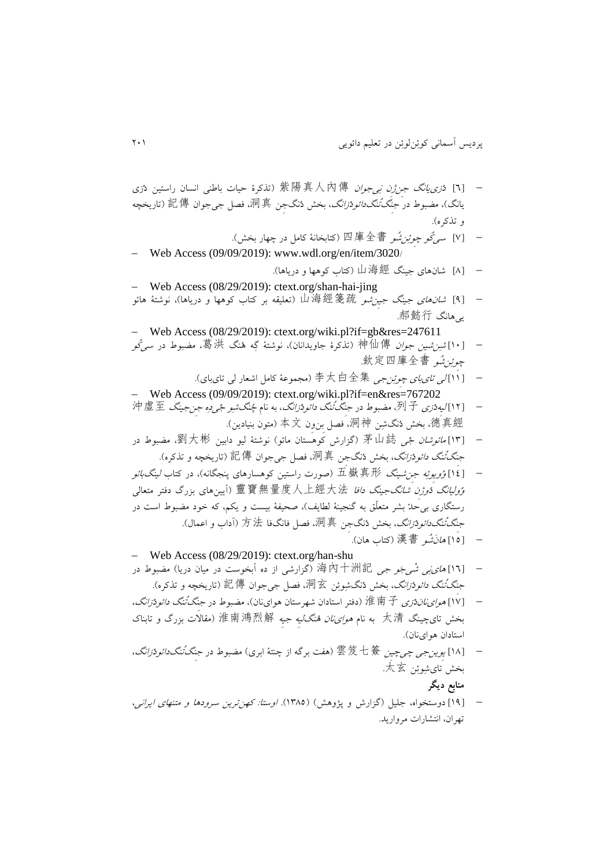- [ <sup>6</sup> ]دْزیيانگ جِنژِن نِیجوان 紫陽真人內傳( تذکرۀ حیات باطنی انسان راستین دْزی يانگ)، مضبوط در *جنگتُنگدائودْزانگ*، بخش دُنگجِن 洞真، فصل جيجوان 記傳( تاريخچه و تذکره(.
	- [ <sup>7</sup> ]سیکُو چِوئِنشُو 四庫全書( کتابخانۀ کامل در چهار بخش(.
- Web Access (09/09/2019): www.wdl.org/en/item/3020/
- [ 8 ]شانهای جینگ 山海經( کتاب کوهها و درياها(. Web Access (08/29/2019): ctext.org/shan-hai-jing
- [4] *شانهای جینگ جین شو 山*海經箋疏 (تعلیقه بر کتاب کوهها و دریاها)، نوشتۀ هائو يیهانگ 郝懿行.

Web Access (08/29/2019): ctext.org/wiki.pl?if=gb&res=247611

- [ <sup>01</sup> ]شِنشیِن جوان 神仙傳( تذکرۀ جاويدانان(، نوشتۀ گِه هُنگ 葛洪، مضبوط در سیکُو چِوئِنشُو 欽定四庫全書.
- [ <sup>00</sup> ]لی تایبای چِوئِنجی 李太白全集( مجموعۀ کامل اشعار لی تایبای(. Web Access (09/09/2019): ctext.org/wiki.pl?if=en&res=767202
- [ <sup>01</sup> ]لیِهدْزی 列子، مضبوط در جِنگتُنگ دائودْزانگ، به نام چُنگشِو جْیدِه جِنجینگ 沖虛至 德真經، بخش دُنگشِن 洞神، فصل بنِوِن 本文( متون بنیادین).
- [١٣]م*ائوشان جْی* 茅山誌 (گزارش کوهستان مائو) نوشتۀ لیو دابین 劉大彬، مضبوط در جِن*گتْنگ دائودْزانگ*، بخش دُنگجِن 洞真، فصل جیجوان 記傳 (تاريخچه و تذکره).
- [ <sup>01</sup> ]وُويِوئِه جِنشینگ 五嶽真形( صورت راستین کوهسارهای پنجگانه(، در کتاب لینگبائو وُولیانگ دُوژِن شانگجینگ دافا 靈寶無量度人上經大法( آيینهای بزرگ دفتر متعالی رستگاری بیحدّ بشر متعلّق به گنجینۀ لطایف)، صحیفۀ بیست و یکم، که خود مضبوط است در جِن*گ تُنگدائودْزانگ*، بخش دُنگجِن 洞真، فصل فانگفا 方法 (آداب و اعمال).
	- [ 01 ]هانَشُو 漢書( کتاب هان(.
- Web Access (08/29/2019): ctext.org/han-shu — [1٦] *های نی شْهِ جَو جی* 海内十洲記( گزارشی از ده آبخوست در میان دریا) مضبوط در جِن*گَ تُنگ دائودْزانگ*، بخش دُنگشِوئِن 洞玄، فصل جیجوان 記傳( تاريخچه و تذکره).
- [ <sup>07</sup> ]هوایناندْزی 淮南子( دفتر استادان شهرستان هواینان(، مضبوط در جِنگتُنگ دائودْزانگ، بخش تایچینگ 太清 به نام *هوایiان هُنگلیه جیه*ِ 淮南鴻烈解( مقالات بزرگ و تابناک استادان هواینان(.
- [ <sup>08</sup> ]يِوينجی چیچیِن 雲笈七簽( هفت برگه از چنتۀ ابری( مضبوط در جِنگتُنگدائودْزانگ، بخش تایشِوئِن 太玄. **منابع دیگر**
- [ 01 ]دوستخواه، جلیل )گزارش و پژوهش( )0881(. اوستا: کهنترين سرودها و متنهای ايرانی، تهران، انتشارات مرواريد.